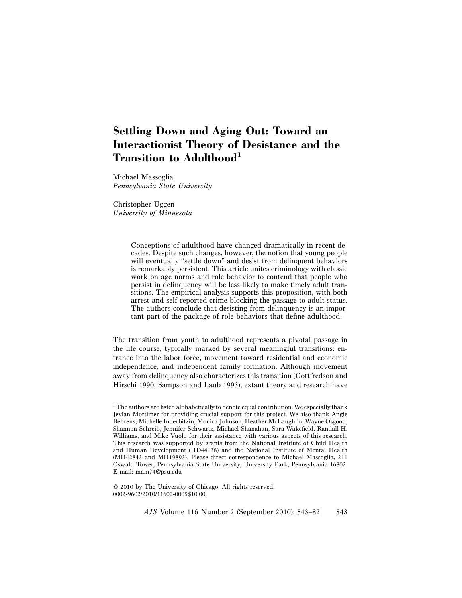# **Settling Down and Aging Out: Toward an Interactionist Theory of Desistance and the Transition to Adulthood**<sup>1</sup>

Michael Massoglia *Pennsylvania State University*

Christopher Uggen *University of Minnesota*

> Conceptions of adulthood have changed dramatically in recent decades. Despite such changes, however, the notion that young people will eventually "settle down" and desist from delinquent behaviors is remarkably persistent. This article unites criminology with classic work on age norms and role behavior to contend that people who persist in delinquency will be less likely to make timely adult transitions. The empirical analysis supports this proposition, with both arrest and self-reported crime blocking the passage to adult status. The authors conclude that desisting from delinquency is an important part of the package of role behaviors that define adulthood.

The transition from youth to adulthood represents a pivotal passage in the life course, typically marked by several meaningful transitions: entrance into the labor force, movement toward residential and economic independence, and independent family formation. Although movement away from delinquency also characterizes this transition (Gottfredson and Hirschi 1990; Sampson and Laub 1993), extant theory and research have

 2010 by The University of Chicago. All rights reserved. 0002-9602/2010/11602-0005\$10.00

 $1$ <sup>1</sup> The authors are listed alphabetically to denote equal contribution. We especially thank Jeylan Mortimer for providing crucial support for this project. We also thank Angie Behrens, Michelle Inderbitzin, Monica Johnson, Heather McLaughlin, Wayne Osgood, Shannon Schreib, Jennifer Schwartz, Michael Shanahan, Sara Wakefield, Randall H. Williams, and Mike Vuolo for their assistance with various aspects of this research. This research was supported by grants from the National Institute of Child Health and Human Development (HD44138) and the National Institute of Mental Health (MH42843 and MH19893). Please direct correspondence to Michael Massoglia, 211 Oswald Tower, Pennsylvania State University, University Park, Pennsylvania 16802. E-mail: mam74@psu.edu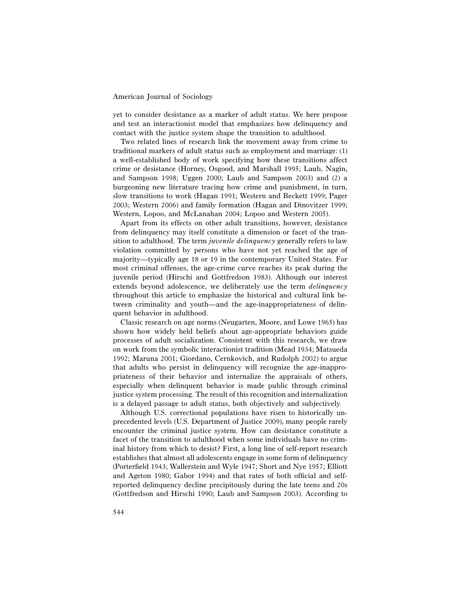yet to consider desistance as a marker of adult status. We here propose and test an interactionist model that emphasizes how delinquency and contact with the justice system shape the transition to adulthood.

Two related lines of research link the movement away from crime to traditional markers of adult status such as employment and marriage: (1) a well-established body of work specifying how these transitions affect crime or desistance (Horney, Osgood, and Marshall 1995; Laub, Nagin, and Sampson 1998; Uggen 2000; Laub and Sampson 2003) and (2) a burgeoning new literature tracing how crime and punishment, in turn, slow transitions to work (Hagan 1991; Western and Beckett 1999; Pager 2003; Western 2006) and family formation (Hagan and Dinovitzer 1999; Western, Lopoo, and McLanahan 2004; Lopoo and Western 2005).

Apart from its effects on other adult transitions, however, desistance from delinquency may itself constitute a dimension or facet of the transition to adulthood. The term *juvenile delinquency* generally refers to law violation committed by persons who have not yet reached the age of majority—typically age 18 or 19 in the contemporary United States. For most criminal offenses, the age-crime curve reaches its peak during the juvenile period (Hirschi and Gottfredson 1983). Although our interest extends beyond adolescence, we deliberately use the term *delinquency* throughout this article to emphasize the historical and cultural link between criminality and youth—and the age-inappropriateness of delinquent behavior in adulthood.

Classic research on age norms (Neugarten, Moore, and Lowe 1965) has shown how widely held beliefs about age-appropriate behaviors guide processes of adult socialization. Consistent with this research, we draw on work from the symbolic interactionist tradition (Mead 1934; Matsueda 1992; Maruna 2001; Giordano, Cernkovich, and Rudolph 2002) to argue that adults who persist in delinquency will recognize the age-inappropriateness of their behavior and internalize the appraisals of others, especially when delinquent behavior is made public through criminal justice system processing. The result of this recognition and internalization is a delayed passage to adult status, both objectively and subjectively.

Although U.S. correctional populations have risen to historically unprecedented levels (U.S. Department of Justice 2009), many people rarely encounter the criminal justice system. How can desistance constitute a facet of the transition to adulthood when some individuals have no criminal history from which to desist? First, a long line of self-report research establishes that almost all adolescents engage in some form of delinquency (Porterfield 1943; Wallerstein and Wyle 1947; Short and Nye 1957; Elliott and Ageton 1980; Gabor 1994) and that rates of both official and selfreported delinquency decline precipitously during the late teens and 20s (Gottfredson and Hirschi 1990; Laub and Sampson 2003). According to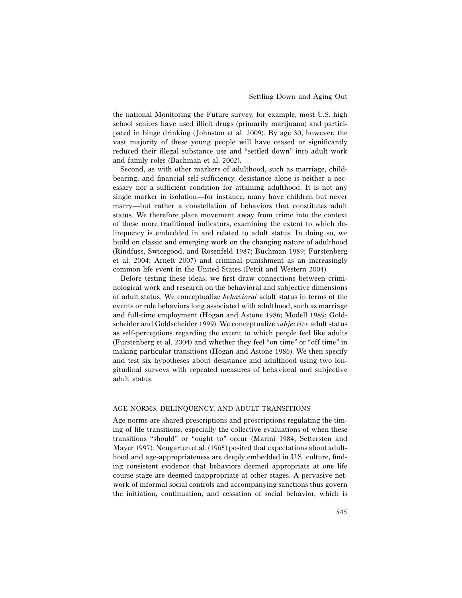the national Monitoring the Future survey, for example, most U.S. high school seniors have used illicit drugs (primarily marijuana) and participated in binge drinking (Johnston et al. 2009). By age 30, however, the vast majority of these young people will have ceased or significantly reduced their illegal substance use and "settled down" into adult work and family roles (Bachman et al. 2002).

Second, as with other markers of adulthood, such as marriage, childbearing, and financial self-sufficiency, desistance alone is neither a necessary nor a sufficient condition for attaining adulthood. It is not any single marker in isolation—for instance, many have children but never marry—but rather a constellation of behaviors that constitutes adult status. We therefore place movement away from crime into the context of these more traditional indicators, examining the extent to which delinquency is embedded in and related to adult status. In doing so, we build on classic and emerging work on the changing nature of adulthood (Rindfuss, Swicegood, and Rosenfeld 1987; Buchman 1989; Furstenberg et al. 2004; Arnett 2007) and criminal punishment as an increasingly common life event in the United States (Pettit and Western 2004).

Before testing these ideas, we first draw connections between criminological work and research on the behavioral and subjective dimensions of adult status. We conceptualize *behavioral* adult status in terms of the events or role behaviors long associated with adulthood, such as marriage and full-time employment (Hogan and Astone 1986; Modell 1989; Goldscheider and Goldscheider 1999). We conceptualize *subjective* adult status as self-perceptions regarding the extent to which people feel like adults (Furstenberg et al. 2004) and whether they feel "on time" or "off time" in making particular transitions (Hogan and Astone 1986). We then specify and test six hypotheses about desistance and adulthood using two longitudinal surveys with repeated measures of behavioral and subjective adult status.

#### AGE NORMS, DELINQUENCY, AND ADULT TRANSITIONS

Age norms are shared prescriptions and proscriptions regulating the timing of life transitions, especially the collective evaluations of when these transitions "should" or "ought to" occur (Marini 1984; Settersten and Mayer 1997). Neugarten et al. (1965) posited that expectations about adulthood and age-appropriateness are deeply embedded in U.S. culture, finding consistent evidence that behaviors deemed appropriate at one life course stage are deemed inappropriate at other stages. A pervasive network of informal social controls and accompanying sanctions thus govern the initiation, continuation, and cessation of social behavior, which is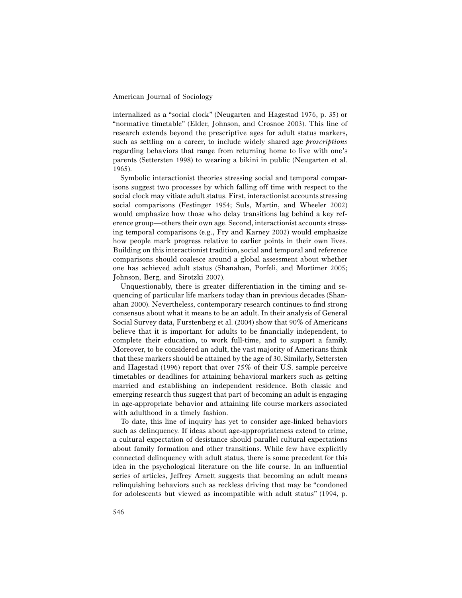internalized as a "social clock" (Neugarten and Hagestad 1976, p. 35) or "normative timetable" (Elder, Johnson, and Crosnoe 2003). This line of research extends beyond the prescriptive ages for adult status markers, such as settling on a career, to include widely shared age *proscriptions* regarding behaviors that range from returning home to live with one's parents (Settersten 1998) to wearing a bikini in public (Neugarten et al. 1965).

Symbolic interactionist theories stressing social and temporal comparisons suggest two processes by which falling off time with respect to the social clock may vitiate adult status. First, interactionist accounts stressing social comparisons (Festinger 1954; Suls, Martin, and Wheeler 2002) would emphasize how those who delay transitions lag behind a key reference group—others their own age. Second, interactionist accounts stressing temporal comparisons (e.g., Fry and Karney 2002) would emphasize how people mark progress relative to earlier points in their own lives. Building on this interactionist tradition, social and temporal and reference comparisons should coalesce around a global assessment about whether one has achieved adult status (Shanahan, Porfeli, and Mortimer 2005; Johnson, Berg, and Sirotzki 2007).

Unquestionably, there is greater differentiation in the timing and sequencing of particular life markers today than in previous decades (Shanahan 2000). Nevertheless, contemporary research continues to find strong consensus about what it means to be an adult. In their analysis of General Social Survey data, Furstenberg et al. (2004) show that 90% of Americans believe that it is important for adults to be financially independent, to complete their education, to work full-time, and to support a family. Moreover, to be considered an adult, the vast majority of Americans think that these markers should be attained by the age of 30. Similarly, Settersten and Hagestad (1996) report that over 75% of their U.S. sample perceive timetables or deadlines for attaining behavioral markers such as getting married and establishing an independent residence. Both classic and emerging research thus suggest that part of becoming an adult is engaging in age-appropriate behavior and attaining life course markers associated with adulthood in a timely fashion.

To date, this line of inquiry has yet to consider age-linked behaviors such as delinquency. If ideas about age-appropriateness extend to crime, a cultural expectation of desistance should parallel cultural expectations about family formation and other transitions. While few have explicitly connected delinquency with adult status, there is some precedent for this idea in the psychological literature on the life course. In an influential series of articles, Jeffrey Arnett suggests that becoming an adult means relinquishing behaviors such as reckless driving that may be "condoned for adolescents but viewed as incompatible with adult status" (1994, p.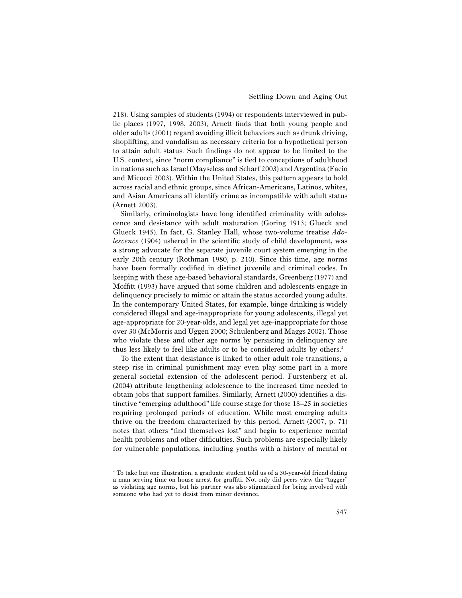218). Using samples of students (1994) or respondents interviewed in public places (1997, 1998, 2003), Arnett finds that both young people and older adults (2001) regard avoiding illicit behaviors such as drunk driving, shoplifting, and vandalism as necessary criteria for a hypothetical person to attain adult status. Such findings do not appear to be limited to the U.S. context, since "norm compliance" is tied to conceptions of adulthood in nations such as Israel (Mayseless and Scharf 2003) and Argentina (Facio and Micocci 2003). Within the United States, this pattern appears to hold across racial and ethnic groups, since African-Americans, Latinos, whites, and Asian Americans all identify crime as incompatible with adult status (Arnett 2003).

Similarly, criminologists have long identified criminality with adolescence and desistance with adult maturation (Goring 1913; Glueck and Glueck 1945). In fact, G. Stanley Hall, whose two-volume treatise *Adolescence* (1904) ushered in the scientific study of child development, was a strong advocate for the separate juvenile court system emerging in the early 20th century (Rothman 1980, p. 210). Since this time, age norms have been formally codified in distinct juvenile and criminal codes. In keeping with these age-based behavioral standards, Greenberg (1977) and Moffitt (1993) have argued that some children and adolescents engage in delinquency precisely to mimic or attain the status accorded young adults. In the contemporary United States, for example, binge drinking is widely considered illegal and age-inappropriate for young adolescents, illegal yet age-appropriate for 20-year-olds, and legal yet age-inappropriate for those over 30 (McMorris and Uggen 2000; Schulenberg and Maggs 2002). Those who violate these and other age norms by persisting in delinquency are thus less likely to feel like adults or to be considered adults by others.<sup>2</sup>

To the extent that desistance is linked to other adult role transitions, a steep rise in criminal punishment may even play some part in a more general societal extension of the adolescent period. Furstenberg et al. (2004) attribute lengthening adolescence to the increased time needed to obtain jobs that support families. Similarly, Arnett (2000) identifies a distinctive "emerging adulthood" life course stage for those 18–25 in societies requiring prolonged periods of education. While most emerging adults thrive on the freedom characterized by this period, Arnett (2007, p. 71) notes that others "find themselves lost" and begin to experience mental health problems and other difficulties. Such problems are especially likely for vulnerable populations, including youths with a history of mental or

<sup>&</sup>lt;sup>2</sup> To take but one illustration, a graduate student told us of a 30-year-old friend dating a man serving time on house arrest for graffiti. Not only did peers view the "tagger" as violating age norms, but his partner was also stigmatized for being involved with someone who had yet to desist from minor deviance.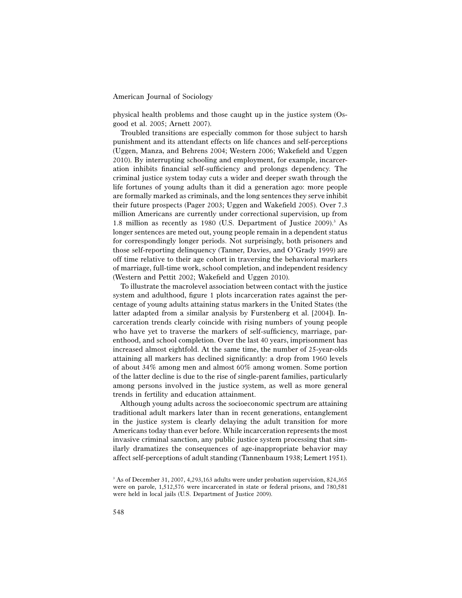physical health problems and those caught up in the justice system (Osgood et al. 2005; Arnett 2007).

Troubled transitions are especially common for those subject to harsh punishment and its attendant effects on life chances and self-perceptions (Uggen, Manza, and Behrens 2004; Western 2006; Wakefield and Uggen 2010). By interrupting schooling and employment, for example, incarceration inhibits financial self-sufficiency and prolongs dependency. The criminal justice system today cuts a wider and deeper swath through the life fortunes of young adults than it did a generation ago: more people are formally marked as criminals, and the long sentences they serve inhibit their future prospects (Pager 2003; Uggen and Wakefield 2005). Over 7.3 million Americans are currently under correctional supervision, up from 1.8 million as recently as 1980 (U.S. Department of Justice 2009).<sup>3</sup> As longer sentences are meted out, young people remain in a dependent status for correspondingly longer periods. Not surprisingly, both prisoners and those self-reporting delinquency (Tanner, Davies, and O'Grady 1999) are off time relative to their age cohort in traversing the behavioral markers of marriage, full-time work, school completion, and independent residency (Western and Pettit 2002; Wakefield and Uggen 2010).

To illustrate the macrolevel association between contact with the justice system and adulthood, figure 1 plots incarceration rates against the percentage of young adults attaining status markers in the United States (the latter adapted from a similar analysis by Furstenberg et al. [2004]). Incarceration trends clearly coincide with rising numbers of young people who have yet to traverse the markers of self-sufficiency, marriage, parenthood, and school completion. Over the last 40 years, imprisonment has increased almost eightfold. At the same time, the number of 25-year-olds attaining all markers has declined significantly: a drop from 1960 levels of about 34% among men and almost 60% among women. Some portion of the latter decline is due to the rise of single-parent families, particularly among persons involved in the justice system, as well as more general trends in fertility and education attainment.

Although young adults across the socioeconomic spectrum are attaining traditional adult markers later than in recent generations, entanglement in the justice system is clearly delaying the adult transition for more Americans today than ever before. While incarceration represents the most invasive criminal sanction, any public justice system processing that similarly dramatizes the consequences of age-inappropriate behavior may affect self-perceptions of adult standing (Tannenbaum 1938; Lemert 1951).

<sup>3</sup> As of December 31, 2007, 4,293,163 adults were under probation supervision, 824,365 were on parole, 1,512,576 were incarcerated in state or federal prisons, and 780,581 were held in local jails (U.S. Department of Justice 2009).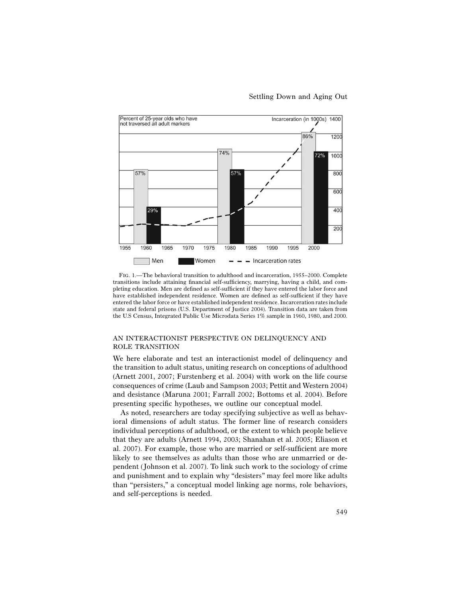Percent of 25-year olds who have Incarceration (in 1000s) 1400 not traversed all adult markers 86% 1200  $74%$ 1000 57% 800 60C 400  $29<sup>°</sup>$ 200 1955 1960 1965 1970 1975 1980 1985 1990 1995 2000 Men Women - Incarceration rates

Settling Down and Aging Out

Fig. 1.—The behavioral transition to adulthood and incarceration, 1955–2000. Complete transitions include attaining financial self-sufficiency, marrying, having a child, and completing education. Men are defined as self-sufficient if they have entered the labor force and have established independent residence. Women are defined as self-sufficient if they have entered the labor force or have established independent residence. Incarceration rates include state and federal prisons (U.S. Department of Justice 2004). Transition data are taken from the U.S Census, Integrated Public Use Microdata Series 1% sample in 1960, 1980, and 2000.

## AN INTERACTIONIST PERSPECTIVE ON DELINQUENCY AND ROLE TRANSITION

We here elaborate and test an interactionist model of delinquency and the transition to adult status, uniting research on conceptions of adulthood (Arnett 2001, 2007; Furstenberg et al. 2004) with work on the life course consequences of crime (Laub and Sampson 2003; Pettit and Western 2004) and desistance (Maruna 2001; Farrall 2002; Bottoms et al. 2004). Before presenting specific hypotheses, we outline our conceptual model.

As noted, researchers are today specifying subjective as well as behavioral dimensions of adult status. The former line of research considers individual perceptions of adulthood, or the extent to which people believe that they are adults (Arnett 1994, 2003; Shanahan et al. 2005; Eliason et al. 2007). For example, those who are married or self-sufficient are more likely to see themselves as adults than those who are unmarried or dependent (Johnson et al. 2007). To link such work to the sociology of crime and punishment and to explain why "desisters" may feel more like adults than "persisters," a conceptual model linking age norms, role behaviors, and self-perceptions is needed.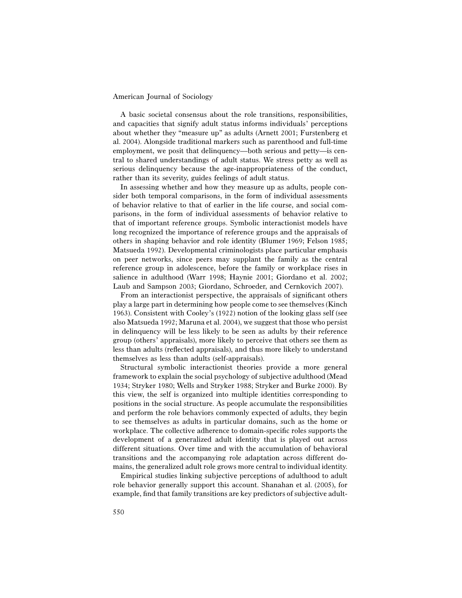A basic societal consensus about the role transitions, responsibilities, and capacities that signify adult status informs individuals' perceptions about whether they "measure up" as adults (Arnett 2001; Furstenberg et al. 2004). Alongside traditional markers such as parenthood and full-time employment, we posit that delinquency—both serious and petty—is central to shared understandings of adult status. We stress petty as well as serious delinquency because the age-inappropriateness of the conduct, rather than its severity, guides feelings of adult status.

In assessing whether and how they measure up as adults, people consider both temporal comparisons, in the form of individual assessments of behavior relative to that of earlier in the life course, and social comparisons, in the form of individual assessments of behavior relative to that of important reference groups. Symbolic interactionist models have long recognized the importance of reference groups and the appraisals of others in shaping behavior and role identity (Blumer 1969; Felson 1985; Matsueda 1992). Developmental criminologists place particular emphasis on peer networks, since peers may supplant the family as the central reference group in adolescence, before the family or workplace rises in salience in adulthood (Warr 1998; Haynie 2001; Giordano et al. 2002; Laub and Sampson 2003; Giordano, Schroeder, and Cernkovich 2007).

From an interactionist perspective, the appraisals of significant others play a large part in determining how people come to see themselves (Kinch 1963). Consistent with Cooley's (1922) notion of the looking glass self (see also Matsueda 1992; Maruna et al. 2004), we suggest that those who persist in delinquency will be less likely to be seen as adults by their reference group (others' appraisals), more likely to perceive that others see them as less than adults (reflected appraisals), and thus more likely to understand themselves as less than adults (self-appraisals).

Structural symbolic interactionist theories provide a more general framework to explain the social psychology of subjective adulthood (Mead 1934; Stryker 1980; Wells and Stryker 1988; Stryker and Burke 2000). By this view, the self is organized into multiple identities corresponding to positions in the social structure. As people accumulate the responsibilities and perform the role behaviors commonly expected of adults, they begin to see themselves as adults in particular domains, such as the home or workplace. The collective adherence to domain-specific roles supports the development of a generalized adult identity that is played out across different situations. Over time and with the accumulation of behavioral transitions and the accompanying role adaptation across different domains, the generalized adult role grows more central to individual identity.

Empirical studies linking subjective perceptions of adulthood to adult role behavior generally support this account. Shanahan et al. (2005), for example, find that family transitions are key predictors of subjective adult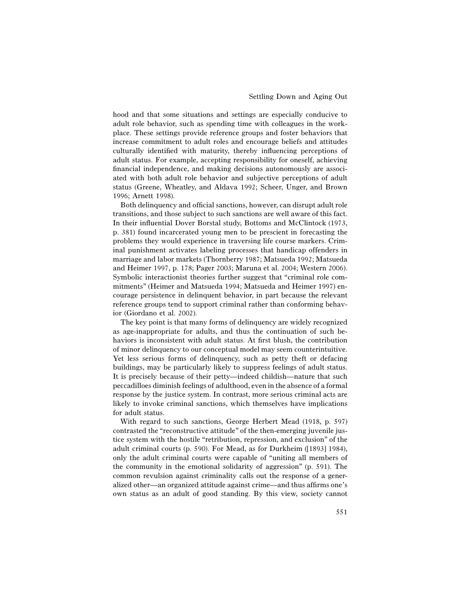hood and that some situations and settings are especially conducive to adult role behavior, such as spending time with colleagues in the workplace. These settings provide reference groups and foster behaviors that increase commitment to adult roles and encourage beliefs and attitudes culturally identified with maturity, thereby influencing perceptions of adult status. For example, accepting responsibility for oneself, achieving financial independence, and making decisions autonomously are associated with both adult role behavior and subjective perceptions of adult status (Greene, Wheatley, and Aldava 1992; Scheer, Unger, and Brown 1996; Arnett 1998).

Both delinquency and official sanctions, however, can disrupt adult role transitions, and those subject to such sanctions are well aware of this fact. In their influential Dover Borstal study, Bottoms and McClintock (1973, p. 381) found incarcerated young men to be prescient in forecasting the problems they would experience in traversing life course markers. Criminal punishment activates labeling processes that handicap offenders in marriage and labor markets (Thornberry 1987; Matsueda 1992; Matsueda and Heimer 1997, p. 178; Pager 2003; Maruna et al. 2004; Western 2006). Symbolic interactionist theories further suggest that "criminal role commitments" (Heimer and Matsueda 1994; Matsueda and Heimer 1997) encourage persistence in delinquent behavior, in part because the relevant reference groups tend to support criminal rather than conforming behavior (Giordano et al. 2002).

The key point is that many forms of delinquency are widely recognized as age-inappropriate for adults, and thus the continuation of such behaviors is inconsistent with adult status. At first blush, the contribution of minor delinquency to our conceptual model may seem counterintuitive. Yet less serious forms of delinquency, such as petty theft or defacing buildings, may be particularly likely to suppress feelings of adult status. It is precisely because of their petty—indeed childish—nature that such peccadilloes diminish feelings of adulthood, even in the absence of a formal response by the justice system. In contrast, more serious criminal acts are likely to invoke criminal sanctions, which themselves have implications for adult status.

With regard to such sanctions, George Herbert Mead (1918, p. 597) contrasted the "reconstructive attitude" of the then-emerging juvenile justice system with the hostile "retribution, repression, and exclusion" of the adult criminal courts (p. 590). For Mead, as for Durkheim ([1893] 1984), only the adult criminal courts were capable of "uniting all members of the community in the emotional solidarity of aggression" (p. 591). The common revulsion against criminality calls out the response of a generalized other—an organized attitude against crime—and thus affirms one's own status as an adult of good standing. By this view, society cannot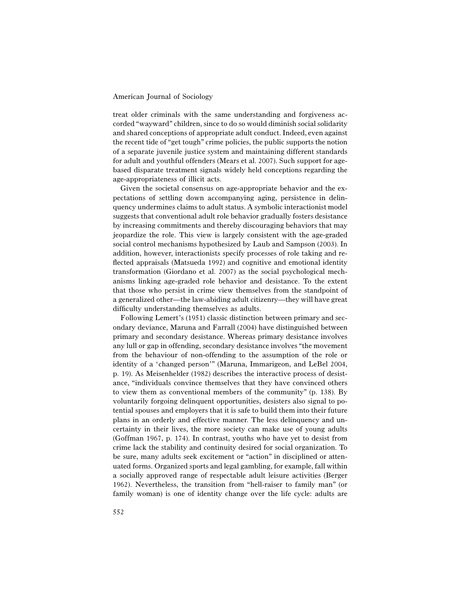treat older criminals with the same understanding and forgiveness accorded "wayward" children, since to do so would diminish social solidarity and shared conceptions of appropriate adult conduct. Indeed, even against the recent tide of "get tough" crime policies, the public supports the notion of a separate juvenile justice system and maintaining different standards for adult and youthful offenders (Mears et al. 2007). Such support for agebased disparate treatment signals widely held conceptions regarding the age-appropriateness of illicit acts.

Given the societal consensus on age-appropriate behavior and the expectations of settling down accompanying aging, persistence in delinquency undermines claims to adult status. A symbolic interactionist model suggests that conventional adult role behavior gradually fosters desistance by increasing commitments and thereby discouraging behaviors that may jeopardize the role. This view is largely consistent with the age-graded social control mechanisms hypothesized by Laub and Sampson (2003). In addition, however, interactionists specify processes of role taking and reflected appraisals (Matsueda 1992) and cognitive and emotional identity transformation (Giordano et al. 2007) as the social psychological mechanisms linking age-graded role behavior and desistance. To the extent that those who persist in crime view themselves from the standpoint of a generalized other—the law-abiding adult citizenry—they will have great difficulty understanding themselves as adults.

Following Lemert's (1951) classic distinction between primary and secondary deviance, Maruna and Farrall (2004) have distinguished between primary and secondary desistance. Whereas primary desistance involves any lull or gap in offending, secondary desistance involves "the movement from the behaviour of non-offending to the assumption of the role or identity of a 'changed person'" (Maruna, Immarigeon, and LeBel 2004, p. 19). As Meisenhelder (1982) describes the interactive process of desistance, "individuals convince themselves that they have convinced others to view them as conventional members of the community" (p. 138). By voluntarily forgoing delinquent opportunities, desisters also signal to potential spouses and employers that it is safe to build them into their future plans in an orderly and effective manner. The less delinquency and uncertainty in their lives, the more society can make use of young adults (Goffman 1967, p. 174). In contrast, youths who have yet to desist from crime lack the stability and continuity desired for social organization. To be sure, many adults seek excitement or "action" in disciplined or attenuated forms. Organized sports and legal gambling, for example, fall within a socially approved range of respectable adult leisure activities (Berger 1962). Nevertheless, the transition from "hell-raiser to family man" (or family woman) is one of identity change over the life cycle: adults are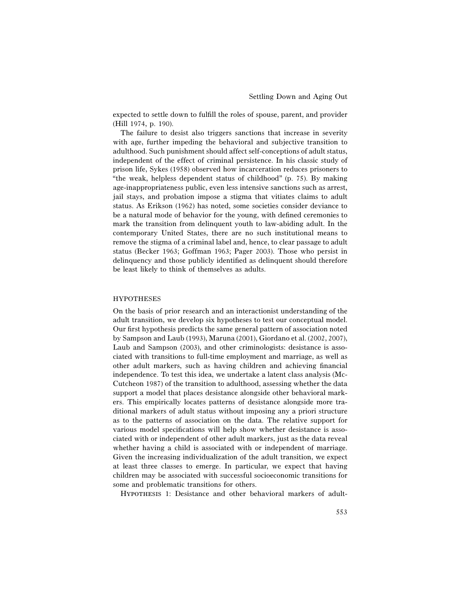expected to settle down to fulfill the roles of spouse, parent, and provider (Hill 1974, p. 190).

The failure to desist also triggers sanctions that increase in severity with age, further impeding the behavioral and subjective transition to adulthood. Such punishment should affect self-conceptions of adult status, independent of the effect of criminal persistence. In his classic study of prison life, Sykes (1958) observed how incarceration reduces prisoners to "the weak, helpless dependent status of childhood" (p. 75). By making age-inappropriateness public, even less intensive sanctions such as arrest, jail stays, and probation impose a stigma that vitiates claims to adult status. As Erikson (1962) has noted, some societies consider deviance to be a natural mode of behavior for the young, with defined ceremonies to mark the transition from delinquent youth to law-abiding adult. In the contemporary United States, there are no such institutional means to remove the stigma of a criminal label and, hence, to clear passage to adult status (Becker 1963; Goffman 1963; Pager 2003). Those who persist in delinquency and those publicly identified as delinquent should therefore be least likely to think of themselves as adults.

## HYPOTHESES

On the basis of prior research and an interactionist understanding of the adult transition, we develop six hypotheses to test our conceptual model. Our first hypothesis predicts the same general pattern of association noted by Sampson and Laub (1993), Maruna (2001), Giordano et al. (2002, 2007), Laub and Sampson (2003), and other criminologists: desistance is associated with transitions to full-time employment and marriage, as well as other adult markers, such as having children and achieving financial independence. To test this idea, we undertake a latent class analysis (Mc-Cutcheon 1987) of the transition to adulthood, assessing whether the data support a model that places desistance alongside other behavioral markers. This empirically locates patterns of desistance alongside more traditional markers of adult status without imposing any a priori structure as to the patterns of association on the data. The relative support for various model specifications will help show whether desistance is associated with or independent of other adult markers, just as the data reveal whether having a child is associated with or independent of marriage. Given the increasing individualization of the adult transition, we expect at least three classes to emerge. In particular, we expect that having children may be associated with successful socioeconomic transitions for some and problematic transitions for others.

Hypothesis 1: Desistance and other behavioral markers of adult-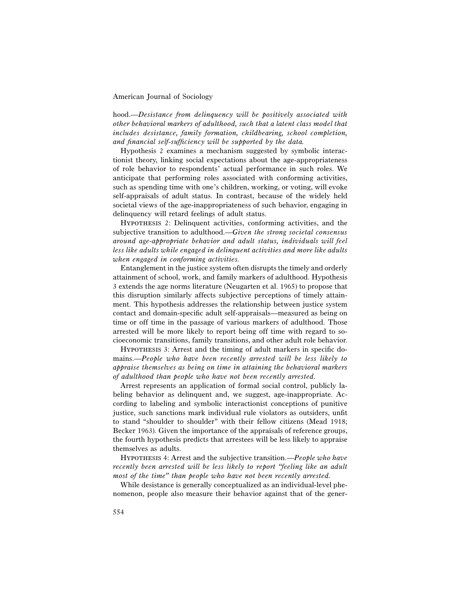hood.—*Desistance from delinquency will be positively associated with other behavioral markers of adulthood, such that a latent class model that includes desistance, family formation, childbearing, school completion, and financial self-sufficiency will be supported by the data.*

Hypothesis 2 examines a mechanism suggested by symbolic interactionist theory, linking social expectations about the age-appropriateness of role behavior to respondents' actual performance in such roles. We anticipate that performing roles associated with conforming activities, such as spending time with one's children, working, or voting, will evoke self-appraisals of adult status. In contrast, because of the widely held societal views of the age-inappropriateness of such behavior, engaging in delinquency will retard feelings of adult status.

Hypothesis 2: Delinquent activities, conforming activities, and the subjective transition to adulthood.—*Given the strong societal consensus around age-appropriate behavior and adult status, individuals will feel less like adults while engaged in delinquent activities and more like adults when engaged in conforming activities.*

Entanglement in the justice system often disrupts the timely and orderly attainment of school, work, and family markers of adulthood. Hypothesis 3 extends the age norms literature (Neugarten et al. 1965) to propose that this disruption similarly affects subjective perceptions of timely attainment. This hypothesis addresses the relationship between justice system contact and domain-specific adult self-appraisals—measured as being on time or off time in the passage of various markers of adulthood. Those arrested will be more likely to report being off time with regard to socioeconomic transitions, family transitions, and other adult role behavior.

Hypothesis 3: Arrest and the timing of adult markers in specific domains.—*People who have been recently arrested will be less likely to appraise themselves as being on time in attaining the behavioral markers of adulthood than people who have not been recently arrested.*

Arrest represents an application of formal social control, publicly labeling behavior as delinquent and, we suggest, age-inappropriate. According to labeling and symbolic interactionist conceptions of punitive justice, such sanctions mark individual rule violators as outsiders, unfit to stand "shoulder to shoulder" with their fellow citizens (Mead 1918; Becker 1963). Given the importance of the appraisals of reference groups, the fourth hypothesis predicts that arrestees will be less likely to appraise themselves as adults.

Hypothesis 4: Arrest and the subjective transition.—*People who have recently been arrested will be less likely to report "feeling like an adult most of the time" than people who have not been recently arrested.*

While desistance is generally conceptualized as an individual-level phenomenon, people also measure their behavior against that of the gener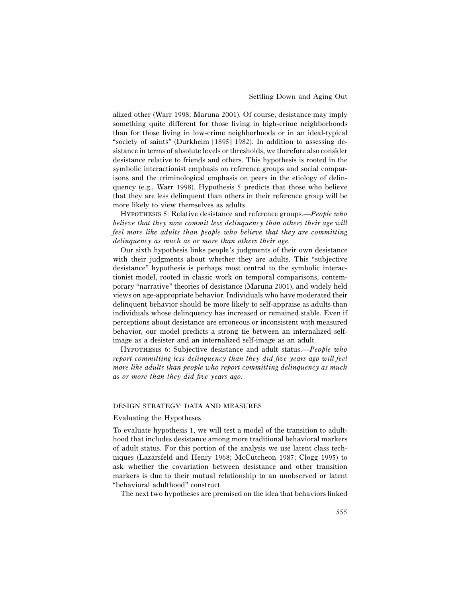alized other (Warr 1998; Maruna 2001). Of course, desistance may imply something quite different for those living in high-crime neighborhoods than for those living in low-crime neighborhoods or in an ideal-typical "society of saints" (Durkheim [1895] 1982). In addition to assessing desistance in terms of absolute levels or thresholds, we therefore also consider desistance relative to friends and others. This hypothesis is rooted in the symbolic interactionist emphasis on reference groups and social comparisons and the criminological emphasis on peers in the etiology of delinquency (e.g., Warr 1998). Hypothesis 5 predicts that those who believe that they are less delinquent than others in their reference group will be more likely to view themselves as adults.

Hypothesis 5: Relative desistance and reference groups.—*People who believe that they now commit less delinquency than others their age will feel more like adults than people who believe that they are committing delinquency as much as or more than others their age.*

Our sixth hypothesis links people's judgments of their own desistance with their judgments about whether they are adults. This "subjective desistance" hypothesis is perhaps most central to the symbolic interactionist model, rooted in classic work on temporal comparisons, contemporary "narrative" theories of desistance (Maruna 2001), and widely held views on age-appropriate behavior. Individuals who have moderated their delinquent behavior should be more likely to self-appraise as adults than individuals whose delinquency has increased or remained stable. Even if perceptions about desistance are erroneous or inconsistent with measured behavior, our model predicts a strong tie between an internalized selfimage as a desister and an internalized self-image as an adult.

Hypothesis 6: Subjective desistance and adult status.—*People who report committing less delinquency than they did five years ago will feel more like adults than people who report committing delinquency as much as or more than they did five years ago.*

## DESIGN STRATEGY: DATA AND MEASURES

#### Evaluating the Hypotheses

To evaluate hypothesis 1, we will test a model of the transition to adulthood that includes desistance among more traditional behavioral markers of adult status. For this portion of the analysis we use latent class techniques (Lazarsfeld and Henry 1968; McCutcheon 1987; Clogg 1995) to ask whether the covariation between desistance and other transition markers is due to their mutual relationship to an unobserved or latent "behavioral adulthood" construct.

The next two hypotheses are premised on the idea that behaviors linked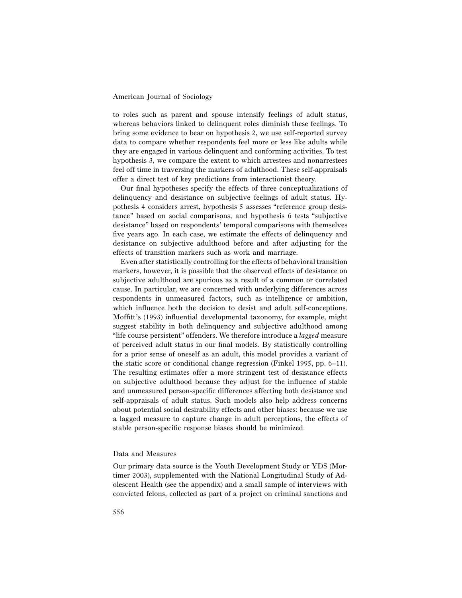to roles such as parent and spouse intensify feelings of adult status, whereas behaviors linked to delinquent roles diminish these feelings. To bring some evidence to bear on hypothesis 2, we use self-reported survey data to compare whether respondents feel more or less like adults while they are engaged in various delinquent and conforming activities. To test hypothesis 3, we compare the extent to which arrestees and nonarrestees feel off time in traversing the markers of adulthood. These self-appraisals offer a direct test of key predictions from interactionist theory.

Our final hypotheses specify the effects of three conceptualizations of delinquency and desistance on subjective feelings of adult status. Hypothesis 4 considers arrest, hypothesis 5 assesses "reference group desistance" based on social comparisons, and hypothesis 6 tests "subjective desistance" based on respondents' temporal comparisons with themselves five years ago. In each case, we estimate the effects of delinquency and desistance on subjective adulthood before and after adjusting for the effects of transition markers such as work and marriage.

Even after statistically controlling for the effects of behavioral transition markers, however, it is possible that the observed effects of desistance on subjective adulthood are spurious as a result of a common or correlated cause. In particular, we are concerned with underlying differences across respondents in unmeasured factors, such as intelligence or ambition, which influence both the decision to desist and adult self-conceptions. Moffitt's (1993) influential developmental taxonomy, for example, might suggest stability in both delinquency and subjective adulthood among "life course persistent" offenders. We therefore introduce a *lagged* measure of perceived adult status in our final models. By statistically controlling for a prior sense of oneself as an adult, this model provides a variant of the static score or conditional change regression (Finkel 1995, pp. 6–11). The resulting estimates offer a more stringent test of desistance effects on subjective adulthood because they adjust for the influence of stable and unmeasured person-specific differences affecting both desistance and self-appraisals of adult status. Such models also help address concerns about potential social desirability effects and other biases: because we use a lagged measure to capture change in adult perceptions, the effects of stable person-specific response biases should be minimized.

## Data and Measures

Our primary data source is the Youth Development Study or YDS (Mortimer 2003), supplemented with the National Longitudinal Study of Adolescent Health (see the appendix) and a small sample of interviews with convicted felons, collected as part of a project on criminal sanctions and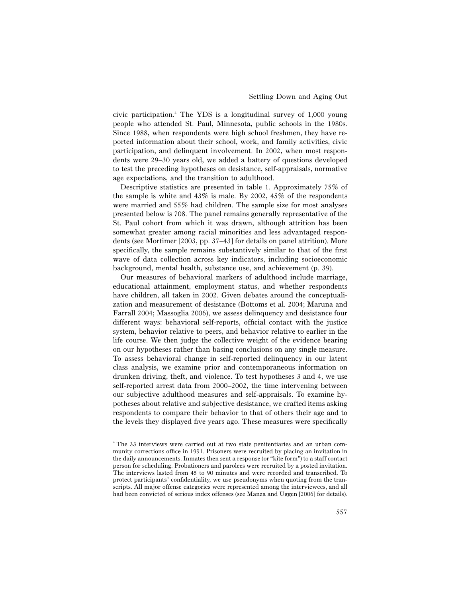civic participation.4 The YDS is a longitudinal survey of 1,000 young people who attended St. Paul, Minnesota, public schools in the 1980s. Since 1988, when respondents were high school freshmen, they have reported information about their school, work, and family activities, civic participation, and delinquent involvement. In 2002, when most respondents were 29–30 years old, we added a battery of questions developed to test the preceding hypotheses on desistance, self-appraisals, normative age expectations, and the transition to adulthood.

Descriptive statistics are presented in table 1. Approximately 75% of the sample is white and 43% is male. By 2002, 45% of the respondents were married and 55% had children. The sample size for most analyses presented below is 708. The panel remains generally representative of the St. Paul cohort from which it was drawn, although attrition has been somewhat greater among racial minorities and less advantaged respondents (see Mortimer [2003, pp. 37–43] for details on panel attrition). More specifically, the sample remains substantively similar to that of the first wave of data collection across key indicators, including socioeconomic background, mental health, substance use, and achievement (p. 39).

Our measures of behavioral markers of adulthood include marriage, educational attainment, employment status, and whether respondents have children, all taken in 2002. Given debates around the conceptualization and measurement of desistance (Bottoms et al. 2004; Maruna and Farrall 2004; Massoglia 2006), we assess delinquency and desistance four different ways: behavioral self-reports, official contact with the justice system, behavior relative to peers, and behavior relative to earlier in the life course. We then judge the collective weight of the evidence bearing on our hypotheses rather than basing conclusions on any single measure. To assess behavioral change in self-reported delinquency in our latent class analysis, we examine prior and contemporaneous information on drunken driving, theft, and violence. To test hypotheses 3 and 4, we use self-reported arrest data from 2000–2002, the time intervening between our subjective adulthood measures and self-appraisals. To examine hypotheses about relative and subjective desistance, we crafted items asking respondents to compare their behavior to that of others their age and to the levels they displayed five years ago. These measures were specifically

<sup>4</sup> The 33 interviews were carried out at two state penitentiaries and an urban community corrections office in 1991. Prisoners were recruited by placing an invitation in the daily announcements. Inmates then sent a response (or "kite form") to a staff contact person for scheduling. Probationers and parolees were recruited by a posted invitation. The interviews lasted from 45 to 90 minutes and were recorded and transcribed. To protect participants' confidentiality, we use pseudonyms when quoting from the transcripts. All major offense categories were represented among the interviewees, and all had been convicted of serious index offenses (see Manza and Uggen [2006] for details).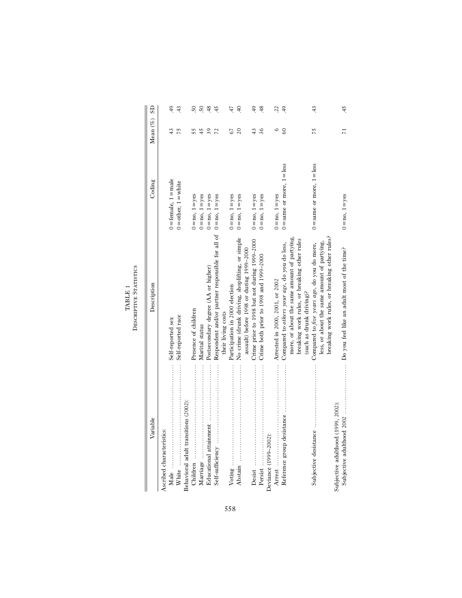| Variable                             | Description                                                           | Coding                         | Mean $(\%)$ SD  |                 |
|--------------------------------------|-----------------------------------------------------------------------|--------------------------------|-----------------|-----------------|
| Ascribed characteristics:            |                                                                       |                                |                 |                 |
|                                      | Self-reported sex                                                     | $0 =$ female, $1 =$ male       |                 | 49              |
|                                      | Self-reported race                                                    | $0 =$ other, $1 =$ white       | 75              | 43              |
| Behavioral adult transitions (2002): |                                                                       |                                |                 |                 |
|                                      | Presence of children                                                  | $0 = no$ , $1 = yes$           | 55              | $\overline{50}$ |
|                                      | Marital status                                                        | $0 = no$ , $1 = yes$           |                 | 50              |
| Educational attainment               | Postsecondary degree (AA or higher)                                   | $0 = no$ , $1 = yes$           | 39              | 48              |
|                                      | Respondent and/or partner responsible for all of $0 = no$ , $1 = yes$ |                                |                 | 45              |
|                                      | their living costs                                                    |                                |                 |                 |
|                                      | Participation in 2000 election                                        | $0 = no$ , $1 = yes$           | 67              | 47              |
|                                      | No crime (drunk driving, shoplifting, or simple                       | $0 = no$ , $1 = yes$           | 20              | $rac{4}{5}$     |
|                                      | assault) before 1998 or during 1999-2000                              |                                |                 |                 |
| Desist …………………………………                 | Crime prior to 1998 but not during 1999-2000                          | $0 = no$ , $1 = yes$           | 43              | $\ddot{ }$      |
|                                      | Crime both prior to 1998 and 1999-2000                                | $0 = no$ , $1 = yes$           | 36              | $\frac{8}{3}$   |
| Deviance (1999–2002):                |                                                                       |                                |                 |                 |
|                                      | Arrested in 2000, 2001, or 2002                                       | $0 = no$ , $1 = yes$           |                 | 22              |
|                                      | Compared to others your age, do you do less,                          | $0 =$ same or more, $1 =$ less | 60              | 49              |
|                                      | more, or about the same amount of partying,                           |                                |                 |                 |
|                                      | breaking work rules, or breaking other rules                          |                                |                 |                 |
|                                      | (such as drunk driving)?                                              |                                |                 |                 |
| Subjective desistance                | Compared to five years ago, do you do more,                           | $0 =$ same or more, $1 =$ less | 75              | 43              |
|                                      | less, or about the same amount of partying,                           |                                |                 |                 |
|                                      | breaking work rules, or breaking other rules?                         |                                |                 |                 |
| Subjective adulthood (1999, 2002):   |                                                                       |                                |                 |                 |
|                                      |                                                                       | $0 = no$ , $1 = yes$           | $\overline{71}$ | 45              |

 $\begin{minipage}{.4\linewidth} \textbf{TABLE 1} \\ \textbf{DescartIVE} \\ \textbf{STATISTICS} \end{minipage}$ Descriptive Statistics TABLE 1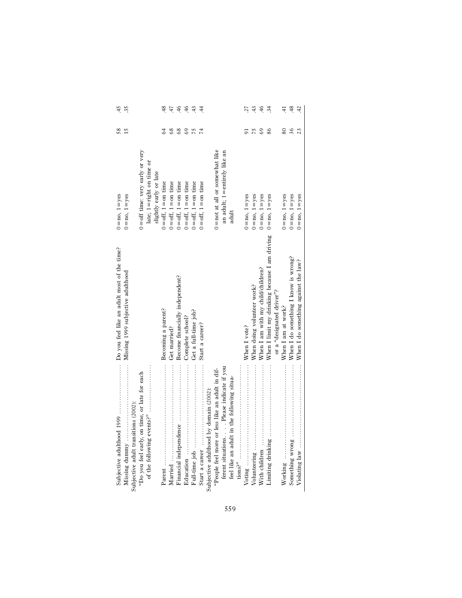| When I limit my drinking because I am driving $0 = no$ , $1 = yes$<br>When I am with my child/children?<br>When doing volunteer work?<br>or a "designated driver"?<br>Complete school?<br>Start a career?<br>When I vote?<br>ferent situations Please indicate if you<br>$\text{tions}^{\text{2p}}$<br>"People feel more or less like an adult in dif-<br>"Do you feel early, on time, or late for each<br>feel like an adult in the following situa-<br>Subjective adulthood by domain (2002): | Missing dummy                        |                    | $0 = no$ , $1 = yes$<br>$0 = no$ , $1 = yes$                                                 | 58<br>15              | 45<br>35.           |
|-------------------------------------------------------------------------------------------------------------------------------------------------------------------------------------------------------------------------------------------------------------------------------------------------------------------------------------------------------------------------------------------------------------------------------------------------------------------------------------------------|--------------------------------------|--------------------|----------------------------------------------------------------------------------------------|-----------------------|---------------------|
|                                                                                                                                                                                                                                                                                                                                                                                                                                                                                                 | Subjective adult transitions (2002): |                    | $0 =$ off time: very early or very<br>late; $1 =$ right on time or<br>slightly early or late |                       |                     |
|                                                                                                                                                                                                                                                                                                                                                                                                                                                                                                 |                                      |                    | $0 = off$ , $1 = on time$<br>$0 = off$ , $1 = on time$                                       | 68<br>$\overline{64}$ | $\frac{8}{3}$<br>47 |
|                                                                                                                                                                                                                                                                                                                                                                                                                                                                                                 |                                      |                    | $0 = off$ , $1 = on time$                                                                    | 68                    | $\overline{46}$     |
|                                                                                                                                                                                                                                                                                                                                                                                                                                                                                                 |                                      |                    | $0 = off$ , $1 = on time$                                                                    | 69                    | $\frac{46}{5}$      |
|                                                                                                                                                                                                                                                                                                                                                                                                                                                                                                 |                                      |                    | $0 = off$ , $1 = on time$                                                                    | $\frac{5}{2}$         | 43                  |
|                                                                                                                                                                                                                                                                                                                                                                                                                                                                                                 |                                      |                    | $0 = off$ , $1 = on time$                                                                    |                       | $rac{4}{5}$         |
|                                                                                                                                                                                                                                                                                                                                                                                                                                                                                                 |                                      |                    |                                                                                              |                       |                     |
|                                                                                                                                                                                                                                                                                                                                                                                                                                                                                                 |                                      |                    | 0 = not at all or somewhat like<br>an adult; 1 = entirely like an                            |                       |                     |
|                                                                                                                                                                                                                                                                                                                                                                                                                                                                                                 |                                      |                    | adult                                                                                        |                       |                     |
|                                                                                                                                                                                                                                                                                                                                                                                                                                                                                                 |                                      |                    | $0 = no$ , $1 = yes$                                                                         |                       | .27                 |
|                                                                                                                                                                                                                                                                                                                                                                                                                                                                                                 |                                      |                    | $0 = no$ , $1 = yes$                                                                         | 75                    | 43                  |
|                                                                                                                                                                                                                                                                                                                                                                                                                                                                                                 |                                      |                    | $0 = no$ , $1 = yes$                                                                         | 69                    | 46                  |
|                                                                                                                                                                                                                                                                                                                                                                                                                                                                                                 |                                      |                    |                                                                                              |                       | 34                  |
|                                                                                                                                                                                                                                                                                                                                                                                                                                                                                                 |                                      | When I am at work? | $0 = no$ , $1 = yes$                                                                         | 80                    | $\frac{1}{4}$       |
| When I do something I know is wrong?                                                                                                                                                                                                                                                                                                                                                                                                                                                            |                                      |                    | $0 = no$ , $1 = yes$                                                                         | 36                    | 48                  |
| When I do something against the law?                                                                                                                                                                                                                                                                                                                                                                                                                                                            |                                      |                    | $0 = no$ , $1 = yes$                                                                         | 23                    | 42                  |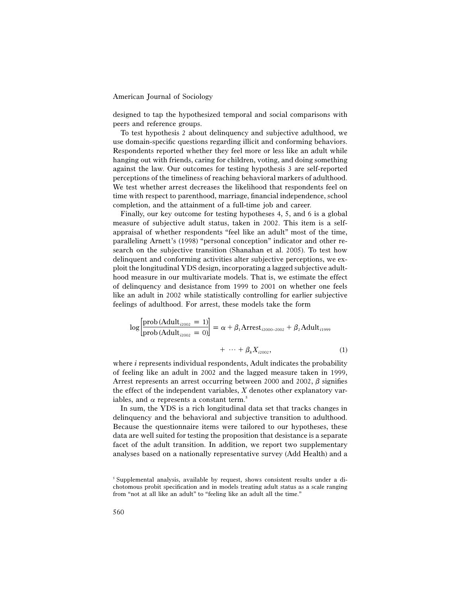designed to tap the hypothesized temporal and social comparisons with peers and reference groups.

To test hypothesis 2 about delinquency and subjective adulthood, we use domain-specific questions regarding illicit and conforming behaviors. Respondents reported whether they feel more or less like an adult while hanging out with friends, caring for children, voting, and doing something against the law. Our outcomes for testing hypothesis 3 are self-reported perceptions of the timeliness of reaching behavioral markers of adulthood. We test whether arrest decreases the likelihood that respondents feel on time with respect to parenthood, marriage, financial independence, school completion, and the attainment of a full-time job and career.

Finally, our key outcome for testing hypotheses 4, 5, and 6 is a global measure of subjective adult status, taken in 2002. This item is a selfappraisal of whether respondents "feel like an adult" most of the time, paralleling Arnett's (1998) "personal conception" indicator and other research on the subjective transition (Shanahan et al. 2005). To test how delinquent and conforming activities alter subjective perceptions, we exploit the longitudinal YDS design, incorporating a lagged subjective adulthood measure in our multivariate models. That is, we estimate the effect of delinquency and desistance from 1999 to 2001 on whether one feels like an adult in 2002 while statistically controlling for earlier subjective feelings of adulthood. For arrest, these models take the form

$$
\log \left[\frac{\text{prob}(\text{Adult}_{i_{2002}}=1)}{\text{prob}(\text{Adult}_{i_{2002}}=0)}\right] = \alpha + \beta_1 \text{Arrest}_{i_{2000-2002}} + \beta_2 \text{Adult}_{i_{1999}}
$$

$$
+\cdots+\beta_k X_{i2002},\qquad \qquad (1)
$$

where *i* represents individual respondents, Adult indicates the probability of feeling like an adult in 2002 and the lagged measure taken in 1999, Arrest represents an arrest occurring between 2000 and 2002,  $\beta$  signifies the effect of the independent variables, *X* denotes other explanatory variables, and  $\alpha$  represents a constant term.<sup>5</sup>

In sum, the YDS is a rich longitudinal data set that tracks changes in delinquency and the behavioral and subjective transition to adulthood. Because the questionnaire items were tailored to our hypotheses, these data are well suited for testing the proposition that desistance is a separate facet of the adult transition. In addition, we report two supplementary analyses based on a nationally representative survey (Add Health) and a

<sup>&</sup>lt;sup>5</sup> Supplemental analysis, available by request, shows consistent results under a dichotomous probit specification and in models treating adult status as a scale ranging from "not at all like an adult" to "feeling like an adult all the time."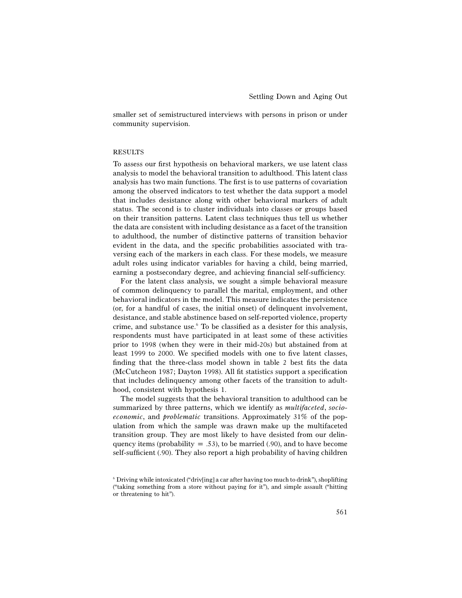smaller set of semistructured interviews with persons in prison or under community supervision.

#### RESULTS

To assess our first hypothesis on behavioral markers, we use latent class analysis to model the behavioral transition to adulthood. This latent class analysis has two main functions. The first is to use patterns of covariation among the observed indicators to test whether the data support a model that includes desistance along with other behavioral markers of adult status. The second is to cluster individuals into classes or groups based on their transition patterns. Latent class techniques thus tell us whether the data are consistent with including desistance as a facet of the transition to adulthood, the number of distinctive patterns of transition behavior evident in the data, and the specific probabilities associated with traversing each of the markers in each class. For these models, we measure adult roles using indicator variables for having a child, being married, earning a postsecondary degree, and achieving financial self-sufficiency.

For the latent class analysis, we sought a simple behavioral measure of common delinquency to parallel the marital, employment, and other behavioral indicators in the model. This measure indicates the persistence (or, for a handful of cases, the initial onset) of delinquent involvement, desistance, and stable abstinence based on self-reported violence, property crime, and substance use.6 To be classified as a desister for this analysis, respondents must have participated in at least some of these activities prior to 1998 (when they were in their mid-20s) but abstained from at least 1999 to 2000. We specified models with one to five latent classes, finding that the three-class model shown in table 2 best fits the data (McCutcheon 1987; Dayton 1998). All fit statistics support a specification that includes delinquency among other facets of the transition to adulthood, consistent with hypothesis 1.

The model suggests that the behavioral transition to adulthood can be summarized by three patterns, which we identify as *multifaceted*, *socioeconomic*, and *problematic* transitions. Approximately 31% of the population from which the sample was drawn make up the multifaceted transition group. They are most likely to have desisted from our delinquency items (probability  $= .53$ ), to be married (.90), and to have become self-sufficient (.90). They also report a high probability of having children

<sup>6</sup> Driving while intoxicated ("driv[ing] a car after having too much to drink"), shoplifting ("taking something from a store without paying for it"), and simple assault ("hitting or threatening to hit").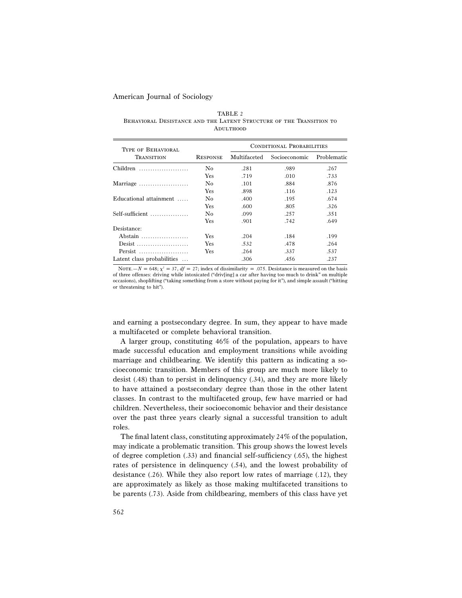TABLE 2 Behavioral Desistance and the Latent Structure of the Transition to ADULTHOOD

| <b>TYPE OF BEHAVIORAL</b>  |                 | <b>CONDITIONAL PROBABILITIES</b> |               |             |  |  |
|----------------------------|-----------------|----------------------------------|---------------|-------------|--|--|
| TRANSITION                 | <b>RESPONSE</b> | Multifaceted                     | Socioeconomic | Problematic |  |  |
| $Children$                 | No              | .281                             | .989          | .267        |  |  |
|                            | <b>Yes</b>      | .719                             | .010          | .733        |  |  |
| Marriage                   | No              | .101                             | .884          | .876        |  |  |
|                            | Yes             | .898                             | .116          | .123        |  |  |
| Educational attainment     | No.             | .400                             | .195          | .674        |  |  |
|                            | Yes             | .600                             | .805          | .326        |  |  |
| Self-sufficient            | No              | .099                             | .257          | .351        |  |  |
|                            | Yes             | .901                             | .742          | .649        |  |  |
| Desistance:                |                 |                                  |               |             |  |  |
| Abstain                    | <b>Yes</b>      | .204                             | .184          | .199        |  |  |
| Desist                     | Yes             | .532                             | .478          | .264        |  |  |
| Persist                    | <b>Yes</b>      | .264                             | .337          | .537        |  |  |
| Latent class probabilities |                 | .306                             | .456          | .237        |  |  |

NOTE.  $-N = 648$ ;  $\chi^2 = 37$ ,  $df = 27$ ; index of dissimilarity = .075. Desistance is measured on the basis of three offenses: driving while intoxicated ("driv[ing] a car after having too much to drink" on multiple occasions), shoplifting ("taking something from a store without paying for it"), and simple assault ("hitting or threatening to hit").

and earning a postsecondary degree. In sum, they appear to have made a multifaceted or complete behavioral transition.

A larger group, constituting 46% of the population, appears to have made successful education and employment transitions while avoiding marriage and childbearing. We identify this pattern as indicating a socioeconomic transition. Members of this group are much more likely to desist (.48) than to persist in delinquency (.34), and they are more likely to have attained a postsecondary degree than those in the other latent classes. In contrast to the multifaceted group, few have married or had children. Nevertheless, their socioeconomic behavior and their desistance over the past three years clearly signal a successful transition to adult roles.

The final latent class, constituting approximately 24% of the population, may indicate a problematic transition. This group shows the lowest levels of degree completion (.33) and financial self-sufficiency (.65), the highest rates of persistence in delinquency (.54), and the lowest probability of desistance (.26). While they also report low rates of marriage (.12), they are approximately as likely as those making multifaceted transitions to be parents (.73). Aside from childbearing, members of this class have yet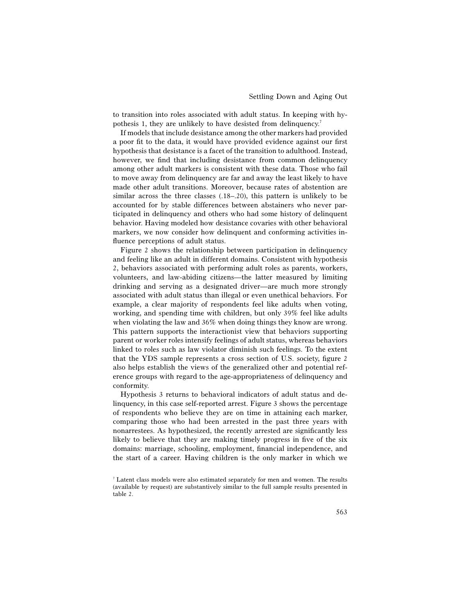to transition into roles associated with adult status. In keeping with hypothesis 1, they are unlikely to have desisted from delinquency.<sup>7</sup>

If models that include desistance among the other markers had provided a poor fit to the data, it would have provided evidence against our first hypothesis that desistance is a facet of the transition to adulthood. Instead, however, we find that including desistance from common delinquency among other adult markers is consistent with these data. Those who fail to move away from delinquency are far and away the least likely to have made other adult transitions. Moreover, because rates of abstention are similar across the three classes (.18–.20), this pattern is unlikely to be accounted for by stable differences between abstainers who never participated in delinquency and others who had some history of delinquent behavior. Having modeled how desistance covaries with other behavioral markers, we now consider how delinquent and conforming activities influence perceptions of adult status.

Figure 2 shows the relationship between participation in delinquency and feeling like an adult in different domains. Consistent with hypothesis 2, behaviors associated with performing adult roles as parents, workers, volunteers, and law-abiding citizens—the latter measured by limiting drinking and serving as a designated driver—are much more strongly associated with adult status than illegal or even unethical behaviors. For example, a clear majority of respondents feel like adults when voting, working, and spending time with children, but only 39% feel like adults when violating the law and 36% when doing things they know are wrong. This pattern supports the interactionist view that behaviors supporting parent or worker roles intensify feelings of adult status, whereas behaviors linked to roles such as law violator diminish such feelings. To the extent that the YDS sample represents a cross section of U.S. society, figure 2 also helps establish the views of the generalized other and potential reference groups with regard to the age-appropriateness of delinquency and conformity.

Hypothesis 3 returns to behavioral indicators of adult status and delinquency, in this case self-reported arrest. Figure 3 shows the percentage of respondents who believe they are on time in attaining each marker, comparing those who had been arrested in the past three years with nonarrestees. As hypothesized, the recently arrested are significantly less likely to believe that they are making timely progress in five of the six domains: marriage, schooling, employment, financial independence, and the start of a career. Having children is the only marker in which we

<sup>7</sup> Latent class models were also estimated separately for men and women. The results (available by request) are substantively similar to the full sample results presented in table 2.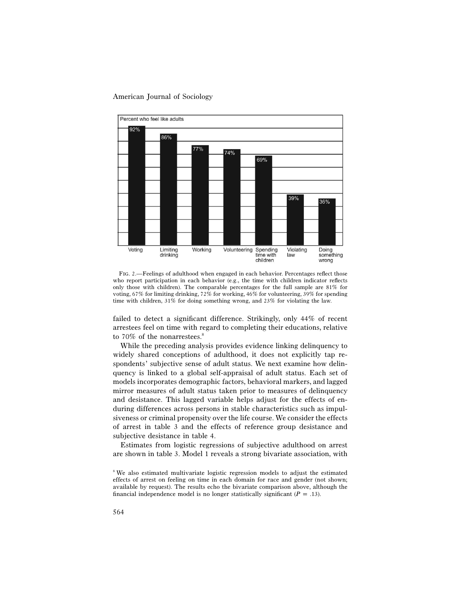

Fig. 2.—Feelings of adulthood when engaged in each behavior. Percentages reflect those who report participation in each behavior (e.g., the time with children indicator reflects only those with children). The comparable percentages for the full sample are 81% for voting, 67% for limiting drinking, 72% for working, 46% for volunteering, 39% for spending time with children, 31% for doing something wrong, and 23% for violating the law.

failed to detect a significant difference. Strikingly, only 44% of recent arrestees feel on time with regard to completing their educations, relative to 70% of the nonarrestees.<sup>8</sup>

While the preceding analysis provides evidence linking delinquency to widely shared conceptions of adulthood, it does not explicitly tap respondents' subjective sense of adult status. We next examine how delinquency is linked to a global self-appraisal of adult status. Each set of models incorporates demographic factors, behavioral markers, and lagged mirror measures of adult status taken prior to measures of delinquency and desistance. This lagged variable helps adjust for the effects of enduring differences across persons in stable characteristics such as impulsiveness or criminal propensity over the life course. We consider the effects of arrest in table 3 and the effects of reference group desistance and subjective desistance in table 4.

Estimates from logistic regressions of subjective adulthood on arrest are shown in table 3. Model 1 reveals a strong bivariate association, with

<sup>&</sup>lt;sup>8</sup> We also estimated multivariate logistic regression models to adjust the estimated effects of arrest on feeling on time in each domain for race and gender (not shown; available by request). The results echo the bivariate comparison above, although the financial independence model is no longer statistically significant ( $P = .13$ ).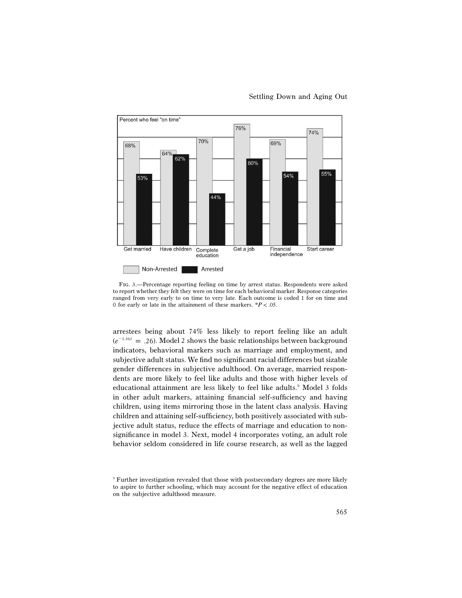

# Settling Down and Aging Out

Fig. 3.—Percentage reporting feeling on time by arrest status. Respondents were asked to report whether they felt they were on time for each behavioral marker. Response categories ranged from very early to on time to very late. Each outcome is coded 1 for on time and 0 for early or late in the attainment of these markers.  $*P < .05$ .

arrestees being about 74% less likely to report feeling like an adult  $(e^{-1.362}) = .26$ . Model 2 shows the basic relationships between background indicators, behavioral markers such as marriage and employment, and subjective adult status. We find no significant racial differences but sizable gender differences in subjective adulthood. On average, married respondents are more likely to feel like adults and those with higher levels of educational attainment are less likely to feel like adults.<sup>9</sup> Model 3 folds in other adult markers, attaining financial self-sufficiency and having children, using items mirroring those in the latent class analysis. Having children and attaining self-sufficiency, both positively associated with subjective adult status, reduce the effects of marriage and education to nonsignificance in model 3. Next, model 4 incorporates voting, an adult role behavior seldom considered in life course research, as well as the lagged

<sup>9</sup> Further investigation revealed that those with postsecondary degrees are more likely to aspire to further schooling, which may account for the negative effect of education on the subjective adulthood measure.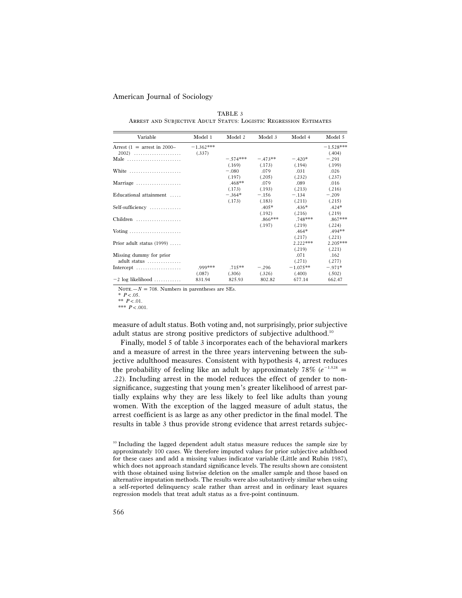TABLE 3 Arrest and Subjective Adult Status: Logistic Regression Estimates

| Variable                                                | Model 1     | Model 2    | Model 3   | Model 4    | Model 5     |
|---------------------------------------------------------|-------------|------------|-----------|------------|-------------|
| Arrest $(1 = \text{arrest in } 2000-$                   | $-1.362***$ |            |           |            | $-1.528***$ |
| $2002)$                                                 | (.337)      |            |           |            | (.404)      |
| Male $\ldots \ldots \ldots \ldots \ldots \ldots \ldots$ |             | $-.574***$ | $-473**$  | $-.420*$   | $-.291$     |
|                                                         |             | (.169)     | (.173)    | (.194)     | (.199)      |
| White                                                   |             | $-.080$    | .079      | .031       | .026        |
|                                                         |             | (.197)     | (.205)    | (.232)     | (.237)      |
| Marriage $\dots\dots\dots\dots\dots\dots\dots$          |             | $.468**$   | .079      | .089       | .016        |
|                                                         |             | (.173)     | (.193)    | (.213)     | (.216)      |
| Educational attainment                                  |             | $-.364*$   | $-.156$   | $-.134$    | $-.209$     |
|                                                         |             | (.173)     | (.183)    | (.211)     | (.215)      |
| Self-sufficiency                                        |             |            | $.405*$   | $.436*$    | $.424*$     |
|                                                         |             |            | (.192)    | (.216)     | (.219)      |
| Children                                                |             |            | $.866***$ | $.748***$  | $.867***$   |
|                                                         |             |            | (.197)    | (.219)     | (.224)      |
| Voting                                                  |             |            |           | $.464*$    | $.494**$    |
|                                                         |             |            |           | (.217)     | (.221)      |
| Prior adult status $(1999)$                             |             |            |           | $2.222***$ | $2.205***$  |
|                                                         |             |            |           | (.219)     | (.221)      |
| Missing dummy for prior                                 |             |            |           | .071       | .162        |
| adult status                                            |             |            |           | (.271)     | (.277)      |
| Intercept $\dots\dots\dots\dots\dots\dots\dots$         | $999***$    | $715**$    | $-.296$   | $-1.075**$ | $-.971*$    |
|                                                         | (.087)      | (.306)     | (.326)    | (.400)     | (.502)      |
| $-2 \log$ likelihood                                    | 831.94      | 825.93     | 802.82    | 677.14     | 662.47      |

NOTE. $-N = 708$ . Numbers in parentheses are SEs.

 $*$   $P < .05$ .

\*\*  $P < .01$ .

\*\*\*  $P < .001$ .

measure of adult status. Both voting and, not surprisingly, prior subjective adult status are strong positive predictors of subjective adulthood.10

Finally, model 5 of table 3 incorporates each of the behavioral markers and a measure of arrest in the three years intervening between the subjective adulthood measures. Consistent with hypothesis 4, arrest reduces the probability of feeling like an adult by approximately 78%  $(e^{-1.528} =$ .22). Including arrest in the model reduces the effect of gender to nonsignificance, suggesting that young men's greater likelihood of arrest partially explains why they are less likely to feel like adults than young women. With the exception of the lagged measure of adult status, the arrest coefficient is as large as any other predictor in the final model. The results in table 3 thus provide strong evidence that arrest retards subjec-

<sup>&</sup>lt;sup>10</sup> Including the lagged dependent adult status measure reduces the sample size by approximately 100 cases. We therefore imputed values for prior subjective adulthood for these cases and add a missing values indicator variable (Little and Rubin 1987), which does not approach standard significance levels. The results shown are consistent with those obtained using listwise deletion on the smaller sample and those based on alternative imputation methods. The results were also substantively similar when using a self-reported delinquency scale rather than arrest and in ordinary least squares regression models that treat adult status as a five-point continuum.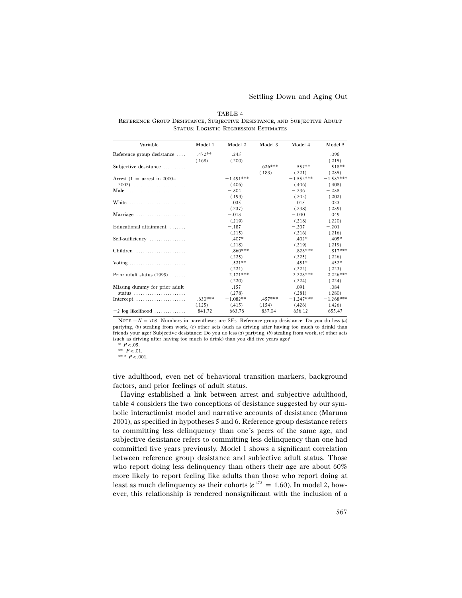#### Settling Down and Aging Out

#### TABLE 4

Reference Group Desistance, Subjective Desistance, and Subjective Adult STATUS: LOGISTIC REGRESSION ESTIMATES

| Variable                                             | Model 1   | Model 2     | Model 3   | Model 4     | Model 5     |
|------------------------------------------------------|-----------|-------------|-----------|-------------|-------------|
| Reference group desistance                           | $.472**$  | .245        |           |             | .096        |
|                                                      | (.168)    | (.200)      |           |             | (.215)      |
| Subjective desistance                                |           |             | $.626***$ | $.557**$    | $.518**$    |
|                                                      |           |             | (.183)    | (.221)      | (.235)      |
| Arrest $(1 = \text{arrest in } 2000-$                |           | $-1.491***$ |           | $-1.552***$ | $-1.537***$ |
| $2002)$                                              |           | (.406)      |           | (.406)      | (.408)      |
| Male                                                 |           | $-.304$     |           | $-.236$     | $-.238$     |
|                                                      |           | (.199)      |           | (.202)      | (.202)      |
| White                                                |           | .035        |           | .015        | .023        |
|                                                      |           | (.237)      |           | (.238)      | (.239)      |
| Marriage $\dots\dots\dots\dots\dots\dots\dots\dots$  |           | $-.013$     |           | $-.040$     | .049        |
|                                                      |           | (.219)      |           | (.218)      | (.220)      |
| Educational attainment                               |           | $-.187$     |           | $-.207$     | $-.201$     |
|                                                      |           | (.215)      |           | (.216)      | (.216)      |
| Self-sufficiency                                     |           | $.407*$     |           | $.402*$     | $.405*$     |
|                                                      |           | (.218)      |           | (.219)      | (.219)      |
|                                                      |           | $.860***$   |           | $.823***$   | $.817***$   |
|                                                      |           | (.225)      |           | (.225)      | (.226)      |
| Voting                                               |           | $.521**$    |           | $.451*$     | $.452*$     |
|                                                      |           | (.221)      |           | (.222)      | (.223)      |
| Prior adult status $(1999)$                          |           | $2.171***$  |           | $2.223***$  | $2.226***$  |
|                                                      |           | (.220)      |           | (.224)      | (.224)      |
| Missing dummy for prior adult                        |           | .157        |           | .091        | .084        |
| status                                               |           | (.278)      |           | (.281)      | (.280)      |
| Intercept $\dots\dots\dots\dots\dots\dots\dots\dots$ | $.630***$ | $-1.082**$  | $.457***$ | $-1.247***$ | $-1.268***$ |
|                                                      | (.125)    | (.415)      | (.154)    | (.426)      | (.426)      |
| $-2 \log$ likelihood                                 | 841.72    | 663.78      | 837.04    | 656.12      | 655.47      |

NOTE.  $-N = 708$ . Numbers in parentheses are SEs. Reference group desistance: Do you do less (*a*) partying, (*b*) stealing from work, (*c*) other acts (such as driving after having too much to drink) than friends your age? Subjective desistance: Do you do less (*a*) partying, (*b*) stealing from work, (*c*) other acts (such as driving after having too much to drink) than you did five years ago?

 $*$   $P < .05$ .

 $*$   $P < .01$ .

\*\*\*  $P < .001$ .

tive adulthood, even net of behavioral transition markers, background factors, and prior feelings of adult status.

Having established a link between arrest and subjective adulthood, table 4 considers the two conceptions of desistance suggested by our symbolic interactionist model and narrative accounts of desistance (Maruna 2001), as specified in hypotheses 5 and 6. Reference group desistance refers to committing less delinquency than one's peers of the same age, and subjective desistance refers to committing less delinquency than one had committed five years previously. Model 1 shows a significant correlation between reference group desistance and subjective adult status. Those who report doing less delinquency than others their age are about 60% more likely to report feeling like adults than those who report doing at least as much delinquency as their cohorts ( $e^{472}$  = 1.60). In model 2, however, this relationship is rendered nonsignificant with the inclusion of a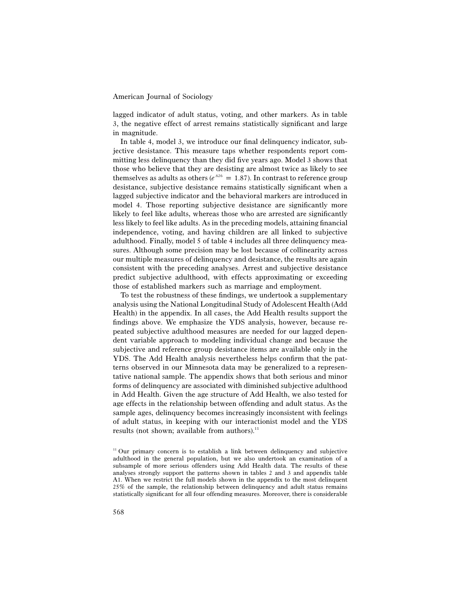lagged indicator of adult status, voting, and other markers. As in table 3, the negative effect of arrest remains statistically significant and large in magnitude.

In table 4, model 3, we introduce our final delinquency indicator, subjective desistance. This measure taps whether respondents report committing less delinquency than they did five years ago. Model 3 shows that those who believe that they are desisting are almost twice as likely to see themselves as adults as others ( $e^{626} = 1.87$ ). In contrast to reference group desistance, subjective desistance remains statistically significant when a lagged subjective indicator and the behavioral markers are introduced in model 4. Those reporting subjective desistance are significantly more likely to feel like adults, whereas those who are arrested are significantly less likely to feel like adults. As in the preceding models, attaining financial independence, voting, and having children are all linked to subjective adulthood. Finally, model 5 of table 4 includes all three delinquency measures. Although some precision may be lost because of collinearity across our multiple measures of delinquency and desistance, the results are again consistent with the preceding analyses. Arrest and subjective desistance predict subjective adulthood, with effects approximating or exceeding those of established markers such as marriage and employment.

To test the robustness of these findings, we undertook a supplementary analysis using the National Longitudinal Study of Adolescent Health (Add Health) in the appendix. In all cases, the Add Health results support the findings above. We emphasize the YDS analysis, however, because repeated subjective adulthood measures are needed for our lagged dependent variable approach to modeling individual change and because the subjective and reference group desistance items are available only in the YDS. The Add Health analysis nevertheless helps confirm that the patterns observed in our Minnesota data may be generalized to a representative national sample. The appendix shows that both serious and minor forms of delinquency are associated with diminished subjective adulthood in Add Health. Given the age structure of Add Health, we also tested for age effects in the relationship between offending and adult status. As the sample ages, delinquency becomes increasingly inconsistent with feelings of adult status, in keeping with our interactionist model and the YDS results (not shown; available from authors). $11$ 

 $11$  Our primary concern is to establish a link between delinquency and subjective adulthood in the general population, but we also undertook an examination of a subsample of more serious offenders using Add Health data. The results of these analyses strongly support the patterns shown in tables 2 and 3 and appendix table A1. When we restrict the full models shown in the appendix to the most delinquent 25% of the sample, the relationship between delinquency and adult status remains statistically significant for all four offending measures. Moreover, there is considerable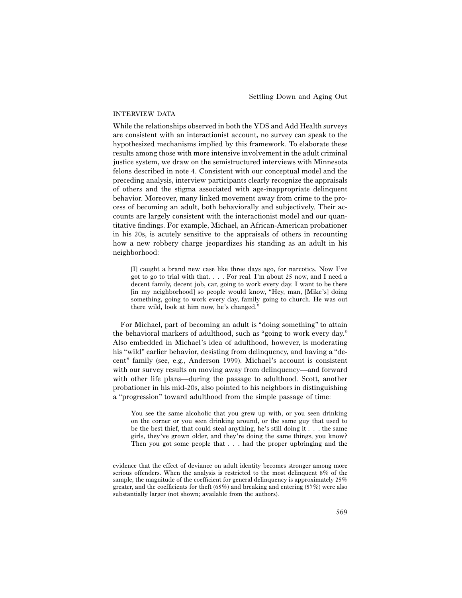# INTERVIEW DATA

While the relationships observed in both the YDS and Add Health surveys are consistent with an interactionist account, no survey can speak to the hypothesized mechanisms implied by this framework. To elaborate these results among those with more intensive involvement in the adult criminal justice system, we draw on the semistructured interviews with Minnesota felons described in note 4. Consistent with our conceptual model and the preceding analysis, interview participants clearly recognize the appraisals of others and the stigma associated with age-inappropriate delinquent behavior. Moreover, many linked movement away from crime to the process of becoming an adult, both behaviorally and subjectively. Their accounts are largely consistent with the interactionist model and our quantitative findings. For example, Michael, an African-American probationer in his 20s, is acutely sensitive to the appraisals of others in recounting how a new robbery charge jeopardizes his standing as an adult in his neighborhood:

[I] caught a brand new case like three days ago, for narcotics. Now I've got to go to trial with that. . . . For real. I'm about 25 now, and I need a decent family, decent job, car, going to work every day. I want to be there [in my neighborhood] so people would know, "Hey, man, [Mike's] doing something, going to work every day, family going to church. He was out there wild, look at him now, he's changed."

For Michael, part of becoming an adult is "doing something" to attain the behavioral markers of adulthood, such as "going to work every day." Also embedded in Michael's idea of adulthood, however, is moderating his "wild" earlier behavior, desisting from delinquency, and having a "decent" family (see, e.g., Anderson 1999). Michael's account is consistent with our survey results on moving away from delinquency—and forward with other life plans—during the passage to adulthood. Scott, another probationer in his mid-20s, also pointed to his neighbors in distinguishing a "progression" toward adulthood from the simple passage of time:

You see the same alcoholic that you grew up with, or you seen drinking on the corner or you seen drinking around, or the same guy that used to be the best thief, that could steal anything, he's still doing it . . . the same girls, they've grown older, and they're doing the same things, you know? Then you got some people that . . . had the proper upbringing and the

evidence that the effect of deviance on adult identity becomes stronger among more serious offenders. When the analysis is restricted to the most delinquent 8% of the sample, the magnitude of the coefficient for general delinquency is approximately 25% greater, and the coefficients for theft (65%) and breaking and entering (57%) were also substantially larger (not shown; available from the authors).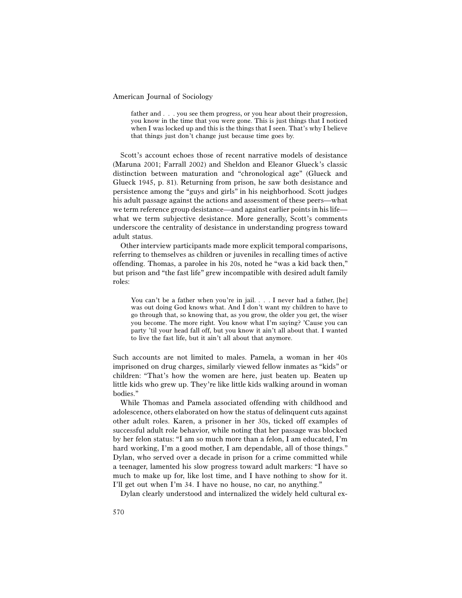father and . . . you see them progress, or you hear about their progression, you know in the time that you were gone. This is just things that I noticed when I was locked up and this is the things that I seen. That's why I believe that things just don't change just because time goes by.

Scott's account echoes those of recent narrative models of desistance (Maruna 2001; Farrall 2002) and Sheldon and Eleanor Glueck's classic distinction between maturation and "chronological age" (Glueck and Glueck 1945, p. 81). Returning from prison, he saw both desistance and persistence among the "guys and girls" in his neighborhood. Scott judges his adult passage against the actions and assessment of these peers—what we term reference group desistance—and against earlier points in his life what we term subjective desistance. More generally, Scott's comments underscore the centrality of desistance in understanding progress toward adult status.

Other interview participants made more explicit temporal comparisons, referring to themselves as children or juveniles in recalling times of active offending. Thomas, a parolee in his 20s, noted he "was a kid back then," but prison and "the fast life" grew incompatible with desired adult family roles:

You can't be a father when you're in jail. . . . I never had a father, [he] was out doing God knows what. And I don't want my children to have to go through that, so knowing that, as you grow, the older you get, the wiser you become. The more right. You know what I'm saying? 'Cause you can party 'til your head fall off, but you know it ain't all about that. I wanted to live the fast life, but it ain't all about that anymore.

Such accounts are not limited to males. Pamela, a woman in her 40s imprisoned on drug charges, similarly viewed fellow inmates as "kids" or children: "That's how the women are here, just beaten up. Beaten up little kids who grew up. They're like little kids walking around in woman bodies."

While Thomas and Pamela associated offending with childhood and adolescence, others elaborated on how the status of delinquent cuts against other adult roles. Karen, a prisoner in her 30s, ticked off examples of successful adult role behavior, while noting that her passage was blocked by her felon status: "I am so much more than a felon, I am educated, I'm hard working, I'm a good mother, I am dependable, all of those things." Dylan, who served over a decade in prison for a crime committed while a teenager, lamented his slow progress toward adult markers: "I have so much to make up for, like lost time, and I have nothing to show for it. I'll get out when I'm 34. I have no house, no car, no anything."

Dylan clearly understood and internalized the widely held cultural ex-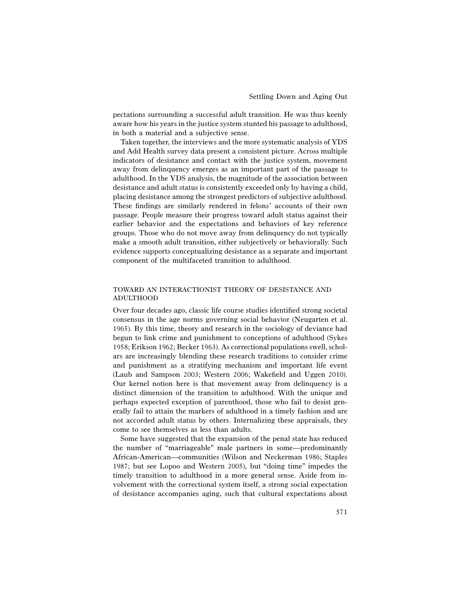pectations surrounding a successful adult transition. He was thus keenly aware how his years in the justice system stunted his passage to adulthood, in both a material and a subjective sense.

Taken together, the interviews and the more systematic analysis of YDS and Add Health survey data present a consistent picture. Across multiple indicators of desistance and contact with the justice system, movement away from delinquency emerges as an important part of the passage to adulthood. In the YDS analysis, the magnitude of the association between desistance and adult status is consistently exceeded only by having a child, placing desistance among the strongest predictors of subjective adulthood. These findings are similarly rendered in felons' accounts of their own passage. People measure their progress toward adult status against their earlier behavior and the expectations and behaviors of key reference groups. Those who do not move away from delinquency do not typically make a smooth adult transition, either subjectively or behaviorally. Such evidence supports conceptualizing desistance as a separate and important component of the multifaceted transition to adulthood.

# TOWARD AN INTERACTIONIST THEORY OF DESISTANCE AND ADULTHOOD

Over four decades ago, classic life course studies identified strong societal consensus in the age norms governing social behavior (Neugarten et al. 1965). By this time, theory and research in the sociology of deviance had begun to link crime and punishment to conceptions of adulthood (Sykes 1958; Erikson 1962; Becker 1963). As correctional populations swell, scholars are increasingly blending these research traditions to consider crime and punishment as a stratifying mechanism and important life event (Laub and Sampson 2003; Western 2006; Wakefield and Uggen 2010). Our kernel notion here is that movement away from delinquency is a distinct dimension of the transition to adulthood. With the unique and perhaps expected exception of parenthood, those who fail to desist generally fail to attain the markers of adulthood in a timely fashion and are not accorded adult status by others. Internalizing these appraisals, they come to see themselves as less than adults.

Some have suggested that the expansion of the penal state has reduced the number of "marriageable" male partners in some—predominantly African-American—communities (Wilson and Neckerman 1986; Staples 1987; but see Lopoo and Western 2005), but "doing time" impedes the timely transition to adulthood in a more general sense. Aside from involvement with the correctional system itself, a strong social expectation of desistance accompanies aging, such that cultural expectations about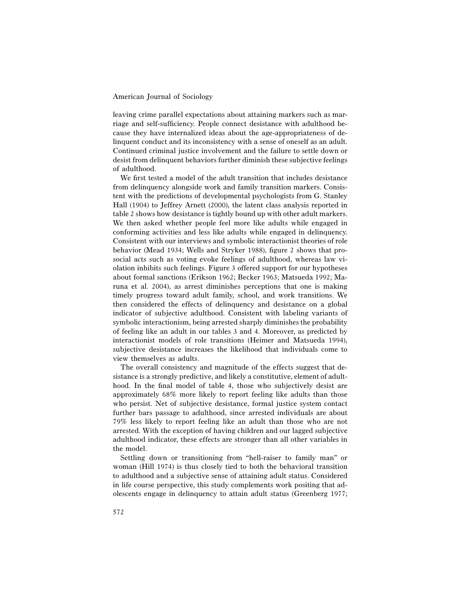leaving crime parallel expectations about attaining markers such as marriage and self-sufficiency. People connect desistance with adulthood because they have internalized ideas about the age-appropriateness of delinquent conduct and its inconsistency with a sense of oneself as an adult. Continued criminal justice involvement and the failure to settle down or desist from delinquent behaviors further diminish these subjective feelings of adulthood.

We first tested a model of the adult transition that includes desistance from delinquency alongside work and family transition markers. Consistent with the predictions of developmental psychologists from G. Stanley Hall (1904) to Jeffrey Arnett (2000), the latent class analysis reported in table 2 shows how desistance is tightly bound up with other adult markers. We then asked whether people feel more like adults while engaged in conforming activities and less like adults while engaged in delinquency. Consistent with our interviews and symbolic interactionist theories of role behavior (Mead 1934; Wells and Stryker 1988), figure 2 shows that prosocial acts such as voting evoke feelings of adulthood, whereas law violation inhibits such feelings. Figure 3 offered support for our hypotheses about formal sanctions (Erikson 1962; Becker 1963; Matsueda 1992; Maruna et al. 2004), as arrest diminishes perceptions that one is making timely progress toward adult family, school, and work transitions. We then considered the effects of delinquency and desistance on a global indicator of subjective adulthood. Consistent with labeling variants of symbolic interactionism, being arrested sharply diminishes the probability of feeling like an adult in our tables 3 and 4. Moreover, as predicted by interactionist models of role transitions (Heimer and Matsueda 1994), subjective desistance increases the likelihood that individuals come to view themselves as adults.

The overall consistency and magnitude of the effects suggest that desistance is a strongly predictive, and likely a constitutive, element of adulthood. In the final model of table 4, those who subjectively desist are approximately 68% more likely to report feeling like adults than those who persist. Net of subjective desistance, formal justice system contact further bars passage to adulthood, since arrested individuals are about 79% less likely to report feeling like an adult than those who are not arrested. With the exception of having children and our lagged subjective adulthood indicator, these effects are stronger than all other variables in the model.

Settling down or transitioning from "hell-raiser to family man" or woman (Hill 1974) is thus closely tied to both the behavioral transition to adulthood and a subjective sense of attaining adult status. Considered in life course perspective, this study complements work positing that adolescents engage in delinquency to attain adult status (Greenberg 1977;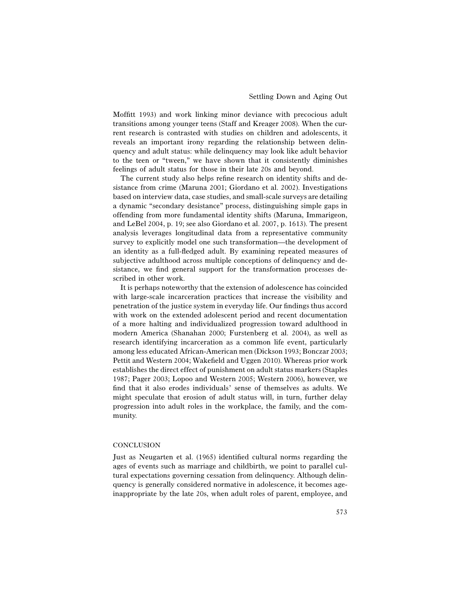Moffitt 1993) and work linking minor deviance with precocious adult transitions among younger teens (Staff and Kreager 2008). When the current research is contrasted with studies on children and adolescents, it reveals an important irony regarding the relationship between delinquency and adult status: while delinquency may look like adult behavior to the teen or "tween," we have shown that it consistently diminishes feelings of adult status for those in their late 20s and beyond.

The current study also helps refine research on identity shifts and desistance from crime (Maruna 2001; Giordano et al. 2002). Investigations based on interview data, case studies, and small-scale surveys are detailing a dynamic "secondary desistance" process, distinguishing simple gaps in offending from more fundamental identity shifts (Maruna, Immarigeon, and LeBel 2004, p. 19; see also Giordano et al. 2007, p. 1613). The present analysis leverages longitudinal data from a representative community survey to explicitly model one such transformation—the development of an identity as a full-fledged adult. By examining repeated measures of subjective adulthood across multiple conceptions of delinquency and desistance, we find general support for the transformation processes described in other work.

It is perhaps noteworthy that the extension of adolescence has coincided with large-scale incarceration practices that increase the visibility and penetration of the justice system in everyday life. Our findings thus accord with work on the extended adolescent period and recent documentation of a more halting and individualized progression toward adulthood in modern America (Shanahan 2000; Furstenberg et al. 2004), as well as research identifying incarceration as a common life event, particularly among less educated African-American men (Dickson 1993; Bonczar 2003; Pettit and Western 2004; Wakefield and Uggen 2010). Whereas prior work establishes the direct effect of punishment on adult status markers (Staples 1987; Pager 2003; Lopoo and Western 2005; Western 2006), however, we find that it also erodes individuals' sense of themselves as adults. We might speculate that erosion of adult status will, in turn, further delay progression into adult roles in the workplace, the family, and the community.

## **CONCLUSION**

Just as Neugarten et al. (1965) identified cultural norms regarding the ages of events such as marriage and childbirth, we point to parallel cultural expectations governing cessation from delinquency. Although delinquency is generally considered normative in adolescence, it becomes ageinappropriate by the late 20s, when adult roles of parent, employee, and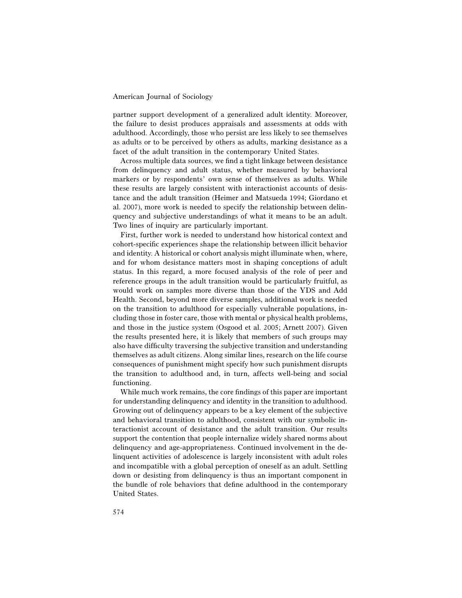partner support development of a generalized adult identity. Moreover, the failure to desist produces appraisals and assessments at odds with adulthood. Accordingly, those who persist are less likely to see themselves as adults or to be perceived by others as adults, marking desistance as a facet of the adult transition in the contemporary United States.

Across multiple data sources, we find a tight linkage between desistance from delinquency and adult status, whether measured by behavioral markers or by respondents' own sense of themselves as adults. While these results are largely consistent with interactionist accounts of desistance and the adult transition (Heimer and Matsueda 1994; Giordano et al. 2007), more work is needed to specify the relationship between delinquency and subjective understandings of what it means to be an adult. Two lines of inquiry are particularly important.

First, further work is needed to understand how historical context and cohort-specific experiences shape the relationship between illicit behavior and identity. A historical or cohort analysis might illuminate when, where, and for whom desistance matters most in shaping conceptions of adult status. In this regard, a more focused analysis of the role of peer and reference groups in the adult transition would be particularly fruitful, as would work on samples more diverse than those of the YDS and Add Health. Second, beyond more diverse samples, additional work is needed on the transition to adulthood for especially vulnerable populations, including those in foster care, those with mental or physical health problems, and those in the justice system (Osgood et al. 2005; Arnett 2007). Given the results presented here, it is likely that members of such groups may also have difficulty traversing the subjective transition and understanding themselves as adult citizens. Along similar lines, research on the life course consequences of punishment might specify how such punishment disrupts the transition to adulthood and, in turn, affects well-being and social functioning.

While much work remains, the core findings of this paper are important for understanding delinquency and identity in the transition to adulthood. Growing out of delinquency appears to be a key element of the subjective and behavioral transition to adulthood, consistent with our symbolic interactionist account of desistance and the adult transition. Our results support the contention that people internalize widely shared norms about delinquency and age-appropriateness. Continued involvement in the delinquent activities of adolescence is largely inconsistent with adult roles and incompatible with a global perception of oneself as an adult. Settling down or desisting from delinquency is thus an important component in the bundle of role behaviors that define adulthood in the contemporary United States.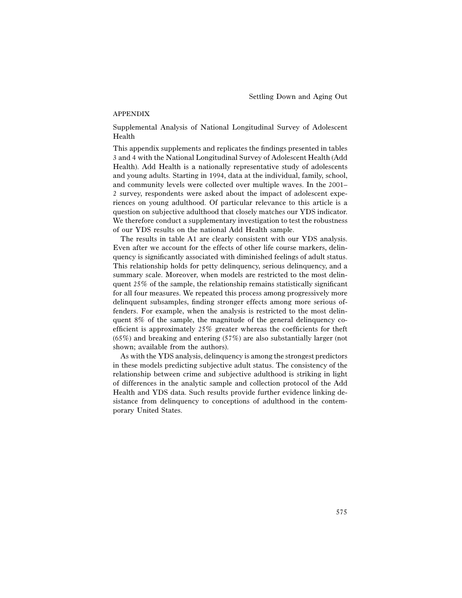# APPENDIX

Supplemental Analysis of National Longitudinal Survey of Adolescent Health

This appendix supplements and replicates the findings presented in tables 3 and 4 with the National Longitudinal Survey of Adolescent Health (Add Health). Add Health is a nationally representative study of adolescents and young adults. Starting in 1994, data at the individual, family, school, and community levels were collected over multiple waves. In the 2001– 2 survey, respondents were asked about the impact of adolescent experiences on young adulthood. Of particular relevance to this article is a question on subjective adulthood that closely matches our YDS indicator. We therefore conduct a supplementary investigation to test the robustness of our YDS results on the national Add Health sample.

The results in table A1 are clearly consistent with our YDS analysis. Even after we account for the effects of other life course markers, delinquency is significantly associated with diminished feelings of adult status. This relationship holds for petty delinquency, serious delinquency, and a summary scale. Moreover, when models are restricted to the most delinquent 25% of the sample, the relationship remains statistically significant for all four measures. We repeated this process among progressively more delinquent subsamples, finding stronger effects among more serious offenders. For example, when the analysis is restricted to the most delinquent 8% of the sample, the magnitude of the general delinquency coefficient is approximately 25% greater whereas the coefficients for theft (65%) and breaking and entering (57%) are also substantially larger (not shown; available from the authors).

As with the YDS analysis, delinquency is among the strongest predictors in these models predicting subjective adult status. The consistency of the relationship between crime and subjective adulthood is striking in light of differences in the analytic sample and collection protocol of the Add Health and YDS data. Such results provide further evidence linking desistance from delinquency to conceptions of adulthood in the contemporary United States.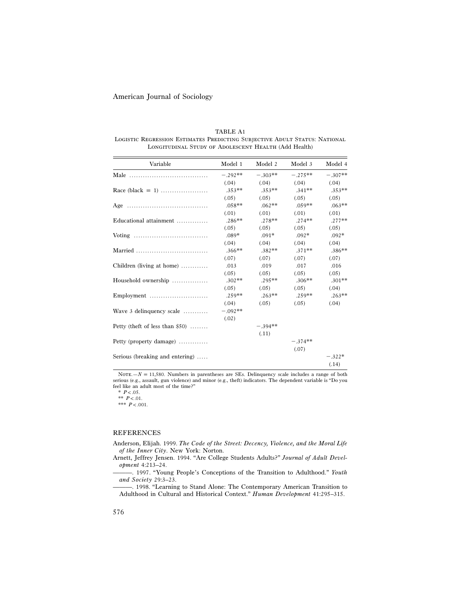TABLE A1 LOGISTIC REGRESSION ESTIMATES PREDICTING SUBJECTIVE ADULT STATUS: NATIONAL Longitudinal Study of Adolescent Health (Add Health)

| Variable                                    | Model 1   | Model 2   | Model 3   | Model 4   |
|---------------------------------------------|-----------|-----------|-----------|-----------|
|                                             | $-.292**$ | $-.303**$ | $-.275**$ | $-.307**$ |
|                                             | (.04)     | (.04)     | (.04)     | (.04)     |
| Race (black = 1)                            | $.353**$  | $.353**$  | $.341**$  | $.353**$  |
|                                             | (.05)     | (.05)     | (.05)     | (.05)     |
|                                             | $.058**$  | $.062**$  | $.059**$  | $.063**$  |
|                                             | (.01)     | (.01)     | (.01)     | (.01)     |
| Educational attainment                      | $.286**$  | $.278**$  | $.274***$ | $.277**$  |
|                                             | (.05)     | (.05)     | (.05)     | (.05)     |
|                                             | $.089*$   | $.091*$   | $.092*$   | $.092*$   |
|                                             | (.04)     | (.04)     | (.04)     | (.04)     |
| Married                                     | $.366**$  | $.382**$  | $.371**$  | $.386**$  |
|                                             | (.07)     | (.07)     | (.07)     | (.07)     |
| Children (living at home) $\dots\dots\dots$ | .013      | .019      | .017      | .016      |
|                                             | (.05)     | (.05)     | (.05)     | (.05)     |
| Household ownership                         | $.302**$  | $.295**$  | $.306**$  | $.301**$  |
|                                             | (.05)     | (.05)     | (.05)     | (.04)     |
|                                             | $.259**$  | $.263**$  | $.259**$  | $.263**$  |
|                                             | (.04)     | (.05)     | (.05)     | (.04)     |
| Wave 3 delinquency scale                    | $-.092**$ |           |           |           |
|                                             | (.02)     |           |           |           |
| Petty (theft of less than $$50)$            |           | $-.394**$ |           |           |
|                                             |           | (.11)     |           |           |
| Petty (property damage)                     |           |           | $-.374**$ |           |
|                                             |           |           | (.07)     |           |
| Serious (breaking and entering)             |           |           |           | $-.322*$  |
|                                             |           |           |           | (.14)     |

NOTE. $-N = 11,580$ . Numbers in parentheses are SEs. Delinquency scale includes a range of both serious (e.g., assault, gun violence) and minor (e.g., theft) indicators. The dependent variable is "Do you feel like an adult most of the time?"

 $*$  *P* < .01. \*\*\*  $P < .001$ .

# REFERENCES

Anderson, Elijah. 1999. *The Code of the Street: Decency, Violence, and the Moral Life of the Inner City*. New York: Norton.

Arnett, Jeffrey Jensen. 1994. "Are College Students Adults?" *Journal of Adult Development* 4:213–24.

———. 1997. "Young People's Conceptions of the Transition to Adulthood." *Youth and Society* 29:3–23.

———. 1998. "Learning to Stand Alone: The Contemporary American Transition to Adulthood in Cultural and Historical Context." *Human Development* 41:295–315.

<sup>\*</sup>  $P<.05.$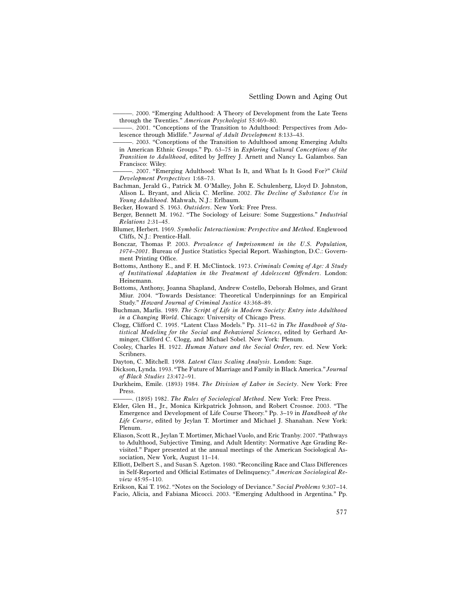———. 2000. "Emerging Adulthood: A Theory of Development from the Late Teens through the Twenties." *American Psychologist* 55:469–80.

- ———. 2001. "Conceptions of the Transition to Adulthood: Perspectives from Adolescence through Midlife." *Journal of Adult Development* 8:133–43.
- ———. 2003. "Conceptions of the Transition to Adulthood among Emerging Adults in American Ethnic Groups." Pp. 63–75 in *Exploring Cultural Conceptions of the Transition to Adulthood*, edited by Jeffrey J. Arnett and Nancy L. Galambos. San Francisco: Wiley.
- . 2007. "Emerging Adulthood: What Is It, and What Is It Good For?" Child *Development Perspectives* 1:68–73.
- Bachman, Jerald G., Patrick M. O'Malley, John E. Schulenberg, Lloyd D. Johnston, Alison L. Bryant, and Alicia C. Merline. 2002. *The Decline of Substance Use in Young Adulthood*. Mahwah, N.J.: Erlbaum.
- Becker, Howard S. 1963. *Outsiders*. New York: Free Press.
- Berger, Bennett M. 1962. "The Sociology of Leisure: Some Suggestions." *Industrial Relations* 2:31–45.
- Blumer, Herbert. 1969. *Symbolic Interactionism: Perspective and Method*. Englewood Cliffs, N.J.: Prentice-Hall.
- Bonczar, Thomas P. 2003. *Prevalence of Imprisonment in the U.S. Population, 1974–2001*. Bureau of Justice Statistics Special Report. Washington, D.C.: Government Printing Office.
- Bottoms, Anthony E., and F. H. McClintock. 1973. *Criminals Coming of Age: A Study of Institutional Adaptation in the Treatment of Adolescent Offenders*. London: Heinemann.
- Bottoms, Anthony, Joanna Shapland, Andrew Costello, Deborah Holmes, and Grant Miur. 2004. "Towards Desistance: Theoretical Underpinnings for an Empirical Study." *Howard Journal of Criminal Justice* 43:368–89.
- Buchman, Marlis. 1989. *The Script of Life in Modern Society: Entry into Adulthood in a Changing World*. Chicago: University of Chicago Press.
- Clogg, Clifford C. 1995. "Latent Class Models." Pp. 311–62 in *The Handbook of Statistical Modeling for the Social and Behavioral Sciences*, edited by Gerhard Arminger, Clifford C. Clogg, and Michael Sobel. New York: Plenum.
- Cooley, Charles H. 1922. *Human Nature and the Social Order*, rev. ed. New York: Scribners.
- Dayton, C. Mitchell. 1998. *Latent Class Scaling Analysis*. London: Sage.
- Dickson, Lynda. 1993. "The Future of Marriage and Family in Black America." *Journal of Black Studies* 23:472–91.
- Durkheim, Emile. (1893) 1984. *The Division of Labor in Society*. New York: Free Press.
- ———. (1895) 1982. *The Rules of Sociological Method*. New York: Free Press.
- Elder, Glen H., Jr., Monica Kirkpatrick Johnson, and Robert Crosnoe. 2003. "The Emergence and Development of Life Course Theory." Pp. 3–19 in *Handbook of the Life Course*, edited by Jeylan T. Mortimer and Michael J. Shanahan. New York: Plenum.
- Eliason, Scott R., Jeylan T. Mortimer, Michael Vuolo, and Eric Tranby. 2007. "Pathways to Adulthood, Subjective Timing, and Adult Identity: Normative Age Grading Revisited." Paper presented at the annual meetings of the American Sociological Association, New York, August 11–14.
- Elliott, Delbert S., and Susan S. Ageton. 1980. "Reconciling Race and Class Differences in Self-Reported and Official Estimates of Delinquency." *American Sociological Review* 45:95–110.

Erikson, Kai T. 1962. "Notes on the Sociology of Deviance." *Social Problems* 9:307–14. Facio, Alicia, and Fabiana Micocci. 2003. "Emerging Adulthood in Argentina." Pp.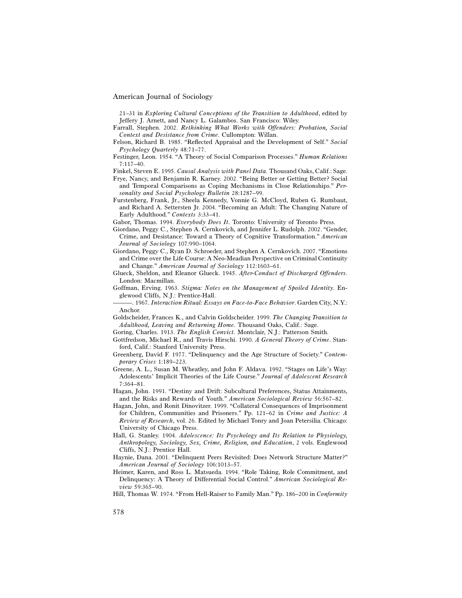21–31 in *Exploring Cultural Conceptions of the Transition to Adulthood*, edited by Jeffery J. Arnett, and Nancy L. Galambos. San Francisco: Wiley.

- Farrall, Stephen. 2002. *Rethinking What Works with Offenders: Probation, Social Context and Desistance from Crime*. Cullompton: Willan.
- Felson, Richard B. 1985. "Reflected Appraisal and the Development of Self." *Social Psychology Quarterly* 48:71–77.
- Festinger, Leon. 1954. "A Theory of Social Comparison Processes." *Human Relations* 7:117–40.
- Finkel, Steven E. 1995. *Causal Analysis with Panel Data*. Thousand Oaks, Calif.: Sage.
- Frye, Nancy, and Benjamin R. Karney. 2002. "Being Better or Getting Better? Social and Temporal Comparisons as Coping Mechanisms in Close Relationships." *Personality and Social Psychology Bulletin* 28:1287–99.
- Furstenberg, Frank, Jr., Sheela Kennedy, Vonnie G. McCloyd, Ruben G. Rumbaut, and Richard A. Settersten Jr. 2004. "Becoming an Adult: The Changing Nature of Early Adulthood." *Contexts* 3:33–41.
- Gabor, Thomas. 1994. *Everybody Does It*. Toronto: University of Toronto Press.
- Giordano, Peggy C., Stephen A. Cernkovich, and Jennifer L. Rudolph. 2002. "Gender, Crime, and Desistance: Toward a Theory of Cognitive Transformation." *American Journal of Sociology* 107:990–1064.
- Giordano, Peggy C., Ryan D. Schroeder, and Stephen A. Cernkovich. 2007. "Emotions and Crime over the Life Course: A Neo-Meadian Perspective on Criminal Continuity and Change." *American Journal of Sociology* 112:1603–61.
- Glueck, Sheldon, and Eleanor Glueck. 1945. *After-Conduct of Discharged Offenders*. London: Macmillan.
- Goffman, Erving. 1963. *Stigma: Notes on the Management of Spoiled Identity*. Englewood Cliffs, N.J.: Prentice-Hall.
- ———. 1967. *Interaction Ritual: Essays on Face-to-Face Behavior*. Garden City, N.Y.: Anchor.
- Goldscheider, Frances K., and Calvin Goldscheider. 1999. *The Changing Transition to Adulthood, Leaving and Returning Home*. Thousand Oaks, Calif.: Sage.
- Goring, Charles. 1913. *The English Convict*. Montclair, N.J.: Patterson Smith.
- Gottfredson, Michael R., and Travis Hirschi. 1990. *A General Theory of Crime*. Stanford, Calif.: Stanford University Press.
- Greenberg, David F. 1977. "Delinquency and the Age Structure of Society." *Contemporary Crises* 1:189–223.
- Greene, A. L., Susan M. Wheatley, and John F. Aldava. 1992. "Stages on Life's Way: Adolescents' Implicit Theories of the Life Course." *Journal of Adolescent Research* 7:364–81.
- Hagan, John. 1991. "Destiny and Drift: Subcultural Preferences, Status Attainments, and the Risks and Rewards of Youth." *American Sociological Review* 56:567–82.
- Hagan, John, and Ronit Dinovitzer. 1999. "Collateral Consequences of Imprisonment for Children, Communities and Prisoners." Pp. 121–62 in *Crime and Justice: A Review of Research*, vol. 26. Edited by Michael Tonry and Joan Petersilia. Chicago: University of Chicago Press.
- Hall, G. Stanley. 1904. *Adolescence: Its Psychology and Its Relation to Physiology, Anthropology, Sociology, Sex, Crime, Religion, and Education*, 2 vols. Englewood Cliffs, N.J.: Prentice Hall.
- Haynie, Dana. 2001. "Delinquent Peers Revisited: Does Network Structure Matter?" *American Journal of Sociology* 106:1013–57.
- Heimer, Karen, and Ross L. Matsueda. 1994. "Role Taking, Role Commitment, and Delinquency: A Theory of Differential Social Control." *American Sociological Review* 59:365–90.
- Hill, Thomas W. 1974. "From Hell-Raiser to Family Man." Pp. 186–200 in *Conformity*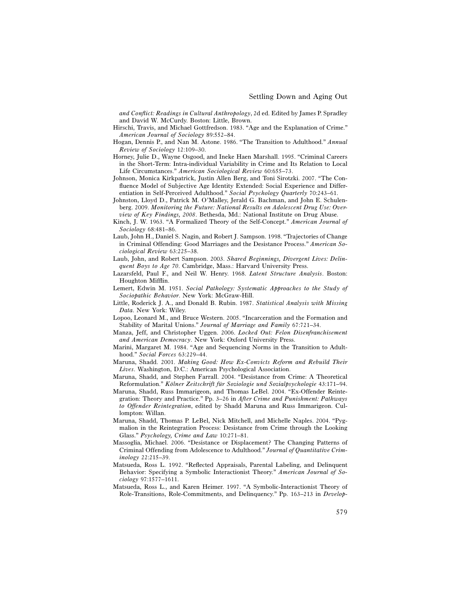*and Conflict: Readings in Cultural Anthropology*, 2d ed. Edited by James P. Spradley and David W. McCurdy. Boston: Little, Brown.

- Hirschi, Travis, and Michael Gottfredson. 1983. "Age and the Explanation of Crime." *American Journal of Sociology* 89:552–84.
- Hogan, Dennis P., and Nan M. Astone. 1986. "The Transition to Adulthood." *Annual Review of Sociology* 12:109–30.
- Horney, Julie D., Wayne Osgood, and Ineke Haen Marshall. 1995. "Criminal Careers in the Short-Term: Intra-individual Variability in Crime and Its Relation to Local Life Circumstances." *American Sociological Review* 60:655–73.
- Johnson, Monica Kirkpatrick, Justin Allen Berg, and Toni Sirotzki. 2007. "The Confluence Model of Subjective Age Identity Extended: Social Experience and Differentiation in Self-Perceived Adulthood." *Social Psychology Quarterly* 70:243–61.
- Johnston, Lloyd D., Patrick M. O'Malley, Jerald G. Bachman, and John E. Schulenberg. 2009. *Monitoring the Future: National Results on Adolescent Drug Use: Overview of Key Findings, 2008*. Bethesda, Md.: National Institute on Drug Abuse.
- Kinch, J. W. 1963. "A Formalized Theory of the Self-Concept." *American Journal of Sociology* 68:481–86.
- Laub, John H., Daniel S. Nagin, and Robert J. Sampson. 1998. "Trajectories of Change in Criminal Offending: Good Marriages and the Desistance Process." *American Sociological Review* 63:225–38.
- Laub, John, and Robert Sampson. 2003. *Shared Beginnings, Divergent Lives: Delinquent Boys to Age 70*. Cambridge, Mass.: Harvard University Press.
- Lazarsfeld, Paul F., and Neil W. Henry. 1968. *Latent Structure Analysis*. Boston: Houghton Mifflin.
- Lemert, Edwin M. 1951. *Social Pathology: Systematic Approaches to the Study of Sociopathic Behavior*. New York: McGraw-Hill.
- Little, Roderick J. A., and Donald B. Rubin. 1987. *Statistical Analysis with Missing Data*. New York: Wiley.
- Lopoo, Leonard M., and Bruce Western. 2005. "Incarceration and the Formation and Stability of Marital Unions." *Journal of Marriage and Family* 67:721–34.
- Manza, Jeff, and Christopher Uggen. 2006. *Locked Out: Felon Disenfranchisement and American Democracy*. New York: Oxford University Press.
- Marini, Margaret M. 1984. "Age and Sequencing Norms in the Transition to Adulthood." *Social Forces* 63:229–44.
- Maruna, Shadd. 2001. *Making Good: How Ex-Convicts Reform and Rebuild Their Lives*. Washington, D.C.: American Psychological Association.
- Maruna, Shadd, and Stephen Farrall. 2004. "Desistance from Crime: A Theoretical Reformulation." *Kölner Zeitschrift für Soziologie und Sozialpsychologie* 43:171–94.
- Maruna, Shadd, Russ Immarigeon, and Thomas LeBel. 2004. "Ex-Offender Reintegration: Theory and Practice." Pp. 3–26 in *After Crime and Punishment: Pathways to Offender Reintegration*, edited by Shadd Maruna and Russ Immarigeon. Cullompton: Willan.
- Maruna, Shadd, Thomas P. LeBel, Nick Mitchell, and Michelle Naples. 2004. "Pygmalion in the Reintegration Process: Desistance from Crime through the Looking Glass." *Psychology, Crime and Law* 10:271–81.
- Massoglia, Michael. 2006. "Desistance or Displacement? The Changing Patterns of Criminal Offending from Adolescence to Adulthood." *Journal of Quantitative Criminology* 22:215–39.
- Matsueda, Ross L. 1992. "Reflected Appraisals, Parental Labeling, and Delinquent Behavior: Specifying a Symbolic Interactionist Theory." *American Journal of Sociology* 97:1577–1611.
- Matsueda, Ross L., and Karen Heimer. 1997. "A Symbolic-Interactionist Theory of Role-Transitions, Role-Commitments, and Delinquency." Pp. 163–213 in *Develop-*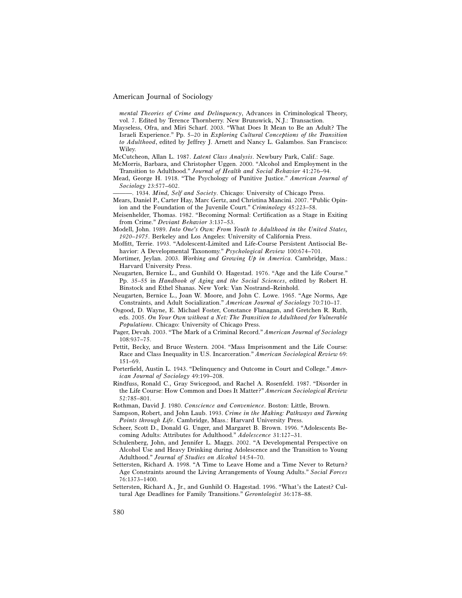*mental Theories of Crime and Delinquency*, Advances in Criminological Theory, vol. 7. Edited by Terence Thornberry. New Brunswick, N.J.: Transaction.

- Mayseless, Ofra, and Miri Scharf. 2003. "What Does It Mean to Be an Adult? The Israeli Experience." Pp. 5–20 in *Exploring Cultural Conceptions of the Transition to Adulthood*, edited by Jeffrey J. Arnett and Nancy L. Galambos. San Francisco: Wiley.
- McCutcheon, Allan L. 1987. *Latent Class Analysis*. Newbury Park, Calif.: Sage.
- McMorris, Barbara, and Christopher Uggen. 2000. "Alcohol and Employment in the Transition to Adulthood." *Journal of Health and Social Behavior* 41:276–94.
- Mead, George H. 1918. "The Psychology of Punitive Justice." *American Journal of Sociology* 23:577–602.
	- ———. 1934. *Mind, Self and Society*. Chicago: University of Chicago Press.
- Mears, Daniel P., Carter Hay, Marc Gertz, and Christina Mancini. 2007. "Public Opinion and the Foundation of the Juvenile Court." *Criminology* 45:223–58.
- Meisenhelder, Thomas. 1982. "Becoming Normal: Certification as a Stage in Exiting from Crime." *Deviant Behavior* 3:137–53.
- Modell, John. 1989. *Into One's Own: From Youth to Adulthood in the United States, 1920–1975*. Berkeley and Los Angeles: University of California Press.
- Moffitt, Terrie. 1993. "Adolescent-Limited and Life-Course Persistent Antisocial Behavior: A Developmental Taxonomy." *Psychological Review* 100:674–701.
- Mortimer, Jeylan. 2003. *Working and Growing Up in America*. Cambridge, Mass.: Harvard University Press.
- Neugarten, Bernice L., and Gunhild O. Hagestad. 1976. "Age and the Life Course." Pp. 35–55 in *Handbook of Aging and the Social Sciences*, edited by Robert H. Binstock and Ethel Shanas. New York: Van Nostrand–Reinhold.
- Neugarten, Bernice L., Joan W. Moore, and John C. Lowe. 1965. "Age Norms, Age Constraints, and Adult Socialization." *American Journal of Sociology* 70:710–17.
- Osgood, D. Wayne, E. Michael Foster, Constance Flanagan, and Gretchen R. Ruth, eds. 2005. *On Your Own without a Net: The Transition to Adulthood for Vulnerable Populations*. Chicago: University of Chicago Press.
- Pager, Devah. 2003. "The Mark of a Criminal Record." *American Journal of Sociology* 108:937–75.
- Pettit, Becky, and Bruce Western. 2004. "Mass Imprisonment and the Life Course: Race and Class Inequality in U.S. Incarceration." *American Sociological Review* 69: 151–69.
- Porterfield, Austin L. 1943. "Delinquency and Outcome in Court and College." *American Journal of Sociology* 49:199–208.
- Rindfuss, Ronald C., Gray Swicegood, and Rachel A. Rosenfeld. 1987. "Disorder in the Life Course: How Common and Does It Matter?" *American Sociological Review* 52:785–801.
- Rothman, David J. 1980. *Conscience and Convenience*. Boston: Little, Brown.
- Sampson, Robert, and John Laub. 1993. *Crime in the Making: Pathways and Turning Points through Life*. Cambridge, Mass.: Harvard University Press.
- Scheer, Scott D., Donald G. Unger, and Margaret B. Brown. 1996. "Adolescents Becoming Adults: Attributes for Adulthood." *Adolescence* 31:127–31.
- Schulenberg, John, and Jennifer L. Maggs. 2002. "A Developmental Perspective on Alcohol Use and Heavy Drinking during Adolescence and the Transition to Young Adulthood." *Journal of Studies on Alcohol* 14:54–70.
- Settersten, Richard A. 1998. "A Time to Leave Home and a Time Never to Return? Age Constraints around the Living Arrangements of Young Adults." *Social Forces* 76:1373–1400.
- Settersten, Richard A., Jr., and Gunhild O. Hagestad. 1996. "What's the Latest? Cultural Age Deadlines for Family Transitions." *Gerontologist* 36:178–88.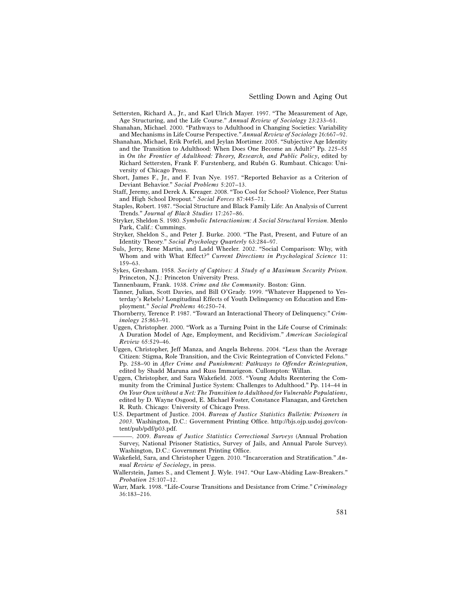- Settersten, Richard A., Jr., and Karl Ulrich Mayer. 1997. "The Measurement of Age, Age Structuring, and the Life Course." *Annual Review of Sociology* 23:233–61.
- Shanahan, Michael. 2000. "Pathways to Adulthood in Changing Societies: Variability and Mechanisms in Life Course Perspective." *Annual Review of Sociology* 26:667–92.
- Shanahan, Michael, Erik Porfeli, and Jeylan Mortimer. 2005. "Subjective Age Identity and the Transition to Adulthood: When Does One Become an Adult?" Pp. 225–55 in *On the Frontier of Adulthood: Theory, Research, and Public Policy*, edited by Richard Settersten, Frank F. Furstenberg, and Rubén G. Rumbaut. Chicago: University of Chicago Press.
- Short, James F., Jr., and F. Ivan Nye. 1957. "Reported Behavior as a Criterion of Deviant Behavior." *Social Problems* 5:207–13.
- Staff, Jeremy, and Derek A. Kreager. 2008. "Too Cool for School? Violence, Peer Status and High School Dropout." *Social Forces* 87:445–71.
- Staples, Robert. 1987. "Social Structure and Black Family Life: An Analysis of Current Trends." *Journal of Black Studies* 17:267–86.
- Stryker, Sheldon S. 1980. *Symbolic Interactionism: A Social Structural Version*. Menlo Park, Calif.: Cummings.
- Stryker, Sheldon S., and Peter J. Burke. 2000. "The Past, Present, and Future of an Identity Theory." *Social Psychology Quarterly* 63:284–97.
- Suls, Jerry, Rene Martin, and Ladd Wheeler. 2002. "Social Comparison: Why, with Whom and with What Effect?" *Current Directions in Psychological Science* 11: 159–63.
- Sykes, Gresham. 1958. *Society of Captives: A Study of a Maximum Security Prison*. Princeton, N.J.: Princeton University Press.
- Tannenbaum, Frank. 1938. *Crime and the Community*. Boston: Ginn.
- Tanner, Julian, Scott Davies, and Bill O'Grady. 1999. "Whatever Happened to Yesterday's Rebels? Longitudinal Effects of Youth Delinquency on Education and Employment." *Social Problems* 46:250–74.
- Thornberry, Terence P. 1987. "Toward an Interactional Theory of Delinquency." *Criminology* 25:863–91.
- Uggen, Christopher. 2000. "Work as a Turning Point in the Life Course of Criminals: A Duration Model of Age, Employment, and Recidivism." *American Sociological Review* 65:529–46.
- Uggen, Christopher, Jeff Manza, and Angela Behrens. 2004. "Less than the Average Citizen: Stigma, Role Transition, and the Civic Reintegration of Convicted Felons." Pp. 258–90 in *After Crime and Punishment: Pathways to Offender Reintegration*, edited by Shadd Maruna and Russ Immarigeon. Cullompton: Willan.
- Uggen, Christopher, and Sara Wakefield. 2005. "Young Adults Reentering the Community from the Criminal Justice System: Challenges to Adulthood." Pp. 114–44 in *On Your Own without a Net: The Transition to Adulthood for Vulnerable Populations*, edited by D. Wayne Osgood, E. Michael Foster, Constance Flanagan, and Gretchen R. Ruth. Chicago: University of Chicago Press.
- U.S. Department of Justice. 2004. *Bureau of Justice Statistics Bulletin: Prisoners in 2003*. Washington, D.C.: Government Printing Office. http://bjs.ojp.usdoj.gov/content/pub/pdf/p03.pdf.

———. 2009. *Bureau of Justice Statistics Correctional Surveys* (Annual Probation Survey, National Prisoner Statistics, Survey of Jails, and Annual Parole Survey). Washington, D.C.: Government Printing Office.

Wakefield, Sara, and Christopher Uggen. 2010. "Incarceration and Stratification." *Annual Review of Sociology*, in press.

Wallerstein, James S., and Clement J. Wyle. 1947. "Our Law-Abiding Law-Breakers." *Probation* 25:107–12.

Warr, Mark. 1998. "Life-Course Transitions and Desistance from Crime." *Criminology* 36:183–216.